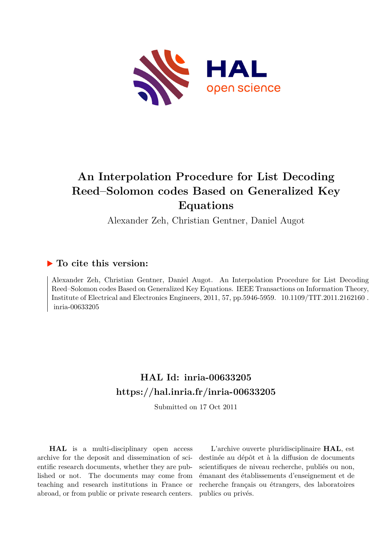

## **An Interpolation Procedure for List Decoding Reed–Solomon codes Based on Generalized Key Equations**

Alexander Zeh, Christian Gentner, Daniel Augot

### **To cite this version:**

Alexander Zeh, Christian Gentner, Daniel Augot. An Interpolation Procedure for List Decoding Reed–Solomon codes Based on Generalized Key Equations. IEEE Transactions on Information Theory, Institute of Electrical and Electronics Engineers, 2011, 57, pp.5946-5959.  $10.1109/TIT.2011.2162160$ . inria-00633205

## **HAL Id: inria-00633205 <https://hal.inria.fr/inria-00633205>**

Submitted on 17 Oct 2011

**HAL** is a multi-disciplinary open access archive for the deposit and dissemination of scientific research documents, whether they are published or not. The documents may come from teaching and research institutions in France or abroad, or from public or private research centers.

L'archive ouverte pluridisciplinaire **HAL**, est destinée au dépôt et à la diffusion de documents scientifiques de niveau recherche, publiés ou non, émanant des établissements d'enseignement et de recherche français ou étrangers, des laboratoires publics ou privés.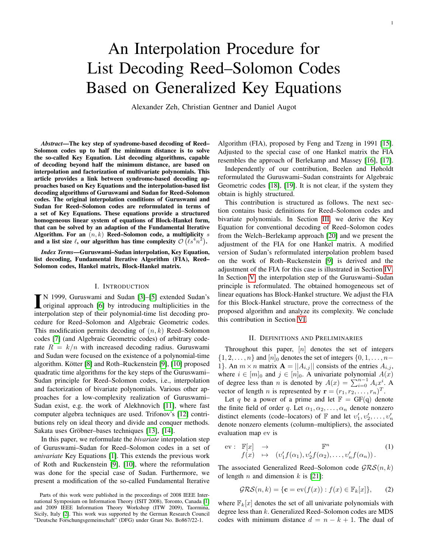1

# An Interpolation Procedure for List Decoding Reed–Solomon Codes Based on Generalized Key Equations

Alexander Zeh, Christian Gentner and Daniel Augot

*Abstract*—The key step of syndrome-based decoding of Reed– Solomon codes up to half the minimum distance is to solve the so-called Key Equation. List decoding algorithms, capable of decoding beyond half the minimum distance, are based on interpolation and factorization of multivariate polynomials. This article provides a link between syndrome-based decoding approaches based on Key Equations and the interpolation-based list decoding algorithms of Guruswami and Sudan for Reed–Solomon codes. The original interpolation conditions of Guruswami and Sudan for Reed–Solomon codes are reformulated in terms of a set of Key Equations. These equations provide a structured homogeneous linear system of equations of Block-Hankel form, that can be solved by an adaption of the Fundamental Iterative Algorithm. For an  $(n, k)$  Reed–Solomon code, a multiplicity s and a list size  $\ell$ , our algorithm has time complexity  $\mathcal{O}(\ell s^4 n^2)$ .

*Index Terms*—Guruswami–Sudan interpolation, Key Equation, list decoding, Fundamental Iterative Algorithm (FIA), Reed– Solomon codes, Hankel matrix, Block-Hankel matrix.

#### I. INTRODUCTION

IN 1999, Guruswami and Sudan [3]–[5] extended Sudan's<br>original approach [\[6\]](#page-12-2) by introducing multiplicities in the<br>intermelation atom of their polynomial time list doesn't a par-N 1999, Guruswami and Sudan [\[3\]](#page-12-0)–[\[5\]](#page-12-1) extended Sudan's interpolation step of their polynomial-time list decoding procedure for Reed–Solomon and Algebraic Geometric codes. This modification permits decoding of  $(n, k)$  Reed–Solomon codes [\[7\]](#page-12-3) (and Algebraic Geometric codes) of arbitrary coderate  $R = k/n$  with increased decoding radius. Guruswami and Sudan were focused on the existence of a polynomial-time algorithm. Kötter [\[8\]](#page-12-4) and Roth–Ruckenstein [\[9\]](#page-12-5), [\[10\]](#page-12-6) proposed quadratic time algorithms for the key steps of the Guruswami– Sudan principle for Reed–Solomon codes, i.e., interpolation and factorization of bivariate polynomials. Various other approaches for a low-complexity realization of Guruswami– Sudan exist, e.g. the work of Alekhnovich [\[11\]](#page-12-7), where fast computer algebra techniques are used. Trifonov's [\[12\]](#page-12-8) contributions rely on ideal theory and divide and conquer methods. Sakata uses Gröbner–bases techniques [\[13\]](#page-12-9), [\[14\]](#page-13-0).

In this paper, we reformulate the *bivariate* interpolation step of Guruswami–Sudan for Reed–Solomon codes in a set of *univariate* Key Equations [\[1\]](#page-12-10). This extends the previous work of Roth and Ruckenstein [\[9\]](#page-12-5), [\[10\]](#page-12-6), where the reformulation was done for the special case of Sudan. Furthermore, we present a modification of the so-called Fundamental Iterative Algorithm (FIA), proposed by Feng and Tzeng in 1991 [\[15\]](#page-13-1). Adjusted to the special case of one Hankel matrix the FIA resembles the approach of Berlekamp and Massey [\[16\]](#page-13-2), [\[17\]](#page-13-3).

Independently of our contribution, Beelen and Høholdt reformulated the Guruswami–Sudan constraints for Algebraic Geometric codes [\[18\]](#page-13-4), [\[19\]](#page-13-5). It is not clear, if the system they obtain is highly structured.

This contribution is structured as follows. The next section contains basic definitions for Reed–Solomon codes and bivariate polynomials. In Section [III,](#page-2-0) we derive the Key Equation for conventional decoding of Reed–Solomon codes from the Welch–Berlekamp approach [\[20\]](#page-13-6) and we present the adjustment of the FIA for one Hankel matrix. A modified version of Sudan's reformulated interpolation problem based on the work of Roth–Ruckenstein [\[9\]](#page-12-5) is derived and the adjustment of the FIA for this case is illustrated in Section [IV.](#page-3-0) In Section [V,](#page-7-0) the interpolation step of the Guruswami–Sudan principle is reformulated. The obtained homogeneous set of linear equations has Block-Hankel structure. We adjust the FIA for this Block-Hankel structure, prove the correctness of the proposed algorithm and analyze its complexity. We conclude this contribution in Section [VI.](#page-12-12)

#### II. DEFINITIONS AND PRELIMINARIES

<span id="page-1-0"></span>Throughout this paper,  $[n]$  denotes the set of integers  $\{1, 2, \ldots, n\}$  and  $[n]_0$  denotes the set of integers  $\{0, 1, \ldots, n-1\}$ 1}. An  $m \times n$  matrix  $\mathbf{A} = ||A_{i,j}||$  consists of the entries  $A_{i,j}$ , where  $i \in [m]_0$  and  $j \in [n]_0$ . A univariate polynomial  $A(x)$ of degree less than n is denoted by  $A(x) = \sum_{i=0}^{n-1} A_i x_i^i$ . vector of length *n* is represented by  $\mathbf{r} = (r_1, r_2, \dots, r_n)^T$ .

Let q be a power of a prime and let  $\mathbb{F} = GF(q)$  denote the finite field of order q. Let  $\alpha_1, \alpha_2, \dots, \alpha_n$  denote nonzero distinct elements (code–locators) of  $\mathbb F$  and let  $v'_1, v'_2, \ldots, v'_n$ denote nonzero elements (column–multipliers), the associated evaluation map ev is

$$
\text{ev}: \mathbb{F}[x] \rightarrow \mathbb{F}^n \qquad (1)
$$
\n
$$
f(x) \mapsto (v'_1 f(\alpha_1), v'_2 f(\alpha_2), \dots, v'_n f(\alpha_n)).
$$
\n
$$
(1)
$$

The associated Generalized Reed–Solomon code  $\mathcal{GRS}(n, k)$ of length n and dimension  $k$  is [\[21\]](#page-13-7):

$$
\mathcal{GRS}(n,k) = \{ \mathbf{c} = \text{ev}(f(x)) : f(x) \in \mathbb{F}_k[x] \},\qquad(2)
$$

where  $\mathbb{F}_k[x]$  denotes the set of all univariate polynomials with degree less than  $k$ . Generalized Reed–Solomon codes are MDS codes with minimum distance  $d = n - k + 1$ . The dual of

Parts of this work were published in the proceedings of 2008 IEEE International Symposium on Information Theory (ISIT 2008), Toronto, Canada [\[1\]](#page-12-10) and 2009 IEEE Information Theory Workshop (ITW 2009), Taormina, Sicily, Italy [\[2\]](#page-12-11). This work was supported by the German Research Council "Deutsche Forschungsgemeinschaft" (DFG) under Grant No. Bo867/22-1.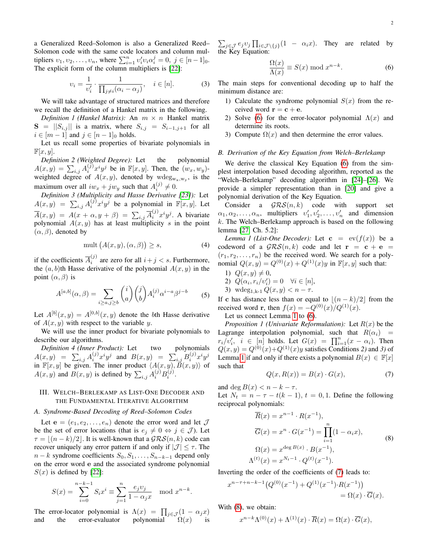a Generalized Reed–Solomon is also a Generalized Reed– Solomon code with the same code locators and column multipliers  $v_1, v_2, \dots, v_n$ , where  $\sum_{i=1}^n v'_i v_i \alpha_i^j = 0, \ j \in [n-1]_0$ . The explicit form of the column multipliers is [\[22\]](#page-13-8):

<span id="page-2-5"></span>
$$
\upsilon_i = \frac{1}{\upsilon'_i} \cdot \frac{1}{\prod_{j \neq i} (\alpha_i - \alpha_j)}, \quad i \in [n]. \tag{3}
$$

We will take advantage of structured matrices and therefore we recall the definition of a Hankel matrix in the following.

<span id="page-2-6"></span>*Definition 1 (Hankel Matrix):* An  $m \times n$  Hankel matrix  $S = ||S_{i,j}||$  is a matrix, where  $S_{i,j} = S_{i-1,j+1}$  for all  $i \in [m-1]$  and  $j \in [n-1]_0$  holds.

Let us recall some properties of bivariate polynomials in  $\mathbb{F}[x,y].$ 

*Definition 2 (Weighted Degree):* Let the polynomial  $A(x,y) = \sum_{i,j} A_i^{(j)} x^i y^j$  be in  $\mathbb{F}[x,y]$ . Then, the  $(w_x, w_y)$ weighted degree of  $A(x, y)$ , denoted by wdeg<sub>wx,wy</sub>, is the maximum over all  $iw_x + jw_y$  such that  $A_i^{(j)} \neq 0$ .

<span id="page-2-9"></span>*Definition 3 (Multiplicity and Hasse Derivative [\[23\]](#page-13-9)):* Let  $A(x,y) = \sum_{i,j} A_i^{(j)} x^i y^j$  be a polynomial in  $\mathbb{F}[x,y]$ . Let  $\overline{A}(x,y) = A(x + \alpha, y + \beta) = \sum_{i,j} \overline{A}_i^{(j)} x^i y^j$ . A bivariate polynomial  $A(x, y)$  has at least multiplicity s in the point  $(\alpha, \beta)$ , denoted by

$$
\text{mult}\,\big(A(x,y),(\alpha,\beta)\big)\geq s,\tag{4}
$$

if the coefficients  $\overline{A}_i^{(j)}$  $i_j^{(j)}$  are zero for all  $i+j < s$ . Furthermore, the  $(a, b)$ th Hasse derivative of the polynomial  $A(x, y)$  in the point  $(\alpha, \beta)$  is

$$
A^{[a,b]}(\alpha,\beta) = \sum_{i \ge a, j \ge b} \binom{i}{a} \binom{j}{b} A_i^{(j)} \alpha^{i-a} \beta^{j-b} \tag{5}
$$

Let  $A^{[b]}(x,y) = A^{[0,b]}(x,y)$  denote the bth Hasse derivative of  $A(x, y)$  with respect to the variable y.

We will use the inner product for bivariate polynomials to describe our algorithms.

<span id="page-2-8"></span>*Definition 4 (Inner Product):* Let two polynomials  $A(x,y)$  =  $\sum_{i,j} A_i^{(j)} x^i y^j$  and  $B(x,y)$  =  $\sum_{i,j} B_i^{(j)} x^i y^j$ in  $\mathbb{F}[x, y]$  be given. The inner product  $\langle A(x, y), B(x, y) \rangle$  of  $A(x, y)$  and  $B(x, y)$  is defined by  $\sum_{i,j} A_i^{(j)} B_i^{(j)}$ .

#### <span id="page-2-0"></span>III. WELCH–BERLEKAMP AS LIST-ONE DECODER AND THE FUNDAMENTAL ITERATIVE ALGORITHM

#### *A. Syndrome-Based Decoding of Reed–Solomon Codes*

Let  $e = (e_1, e_2, \ldots, e_n)$  denote the error word and let  $\mathcal J$ be the set of error locations (that is  $e_j \neq 0 \Leftrightarrow j \in \mathcal{J}$ ). Let  $\tau = \frac{(n - k)}{2}$ . It is well-known that a  $\mathcal{GRS}(n, k)$  code can recover uniquely any error pattern if and only if  $|\mathcal{J}| \leq \tau$ . The  $n-k$  syndrome coefficients  $S_0, S_1, \ldots, S_{n-k-1}$  depend only on the error word e and the associated syndrome polynomial  $S(x)$  is defined by [\[22\]](#page-13-8):

$$
S(x) = \sum_{i=0}^{n-k-1} S_i x^i \equiv \sum_{j=1}^n \frac{e_j v_j}{1 - \alpha_j x} \mod x^{n-k}.
$$

The error-locator polynomial is  $\Lambda(x) = \prod_{j \in \mathcal{J}} (1 - \alpha_j x)$ and the error-evaluator polynomial  $\Omega(x)$  is

 $\sum_{j \in \mathcal{J}} e_j v_j \prod_{i \in \mathcal{J} \setminus \{j\}} (1 - \alpha_i x)$ . They are related by the Key Equation:

<span id="page-2-1"></span>
$$
\frac{\Omega(x)}{\Lambda(x)} \equiv S(x) \bmod x^{n-k}.
$$
 (6)

The main steps for conventional decoding up to half the minimum distance are:

- 1) Calculate the syndrome polynomial  $S(x)$  from the received word  $\mathbf{r} = \mathbf{c} + \mathbf{e}$ .
- 2) Solve [\(6\)](#page-2-1) for the error-locator polynomial  $\Lambda(x)$  and determine its roots.
- 3) Compute  $\Omega(x)$  and then determine the error values.

#### *B. Derivation of the Key Equation from Welch–Berlekamp*

We derive the classical Key Equation [\(6\)](#page-2-1) from the simplest interpolation based decoding algorithm, reported as the "Welch–Berlekamp" decoding algorithm in [\[24\]](#page-13-10)–[\[26\]](#page-13-11). We provide a simpler representation than in [\[20\]](#page-13-6) and give a polynomial derivation of the Key Equation.

Consider a  $GRS(n, k)$  code with support set  $\alpha_1, \alpha_2, \ldots, \alpha_n$ , multipliers  $v'_1, v'_2, \ldots, v'_n$  and dimension  $k$ . The Welch–Berlekamp approach is based on the following lemma [\[27,](#page-13-12) Ch. 5.2]:

<span id="page-2-2"></span>*Lemma 1 (List-One Decoder):* Let  $\mathbf{c} = \text{ev}(f(x))$  be a codeword of a  $\mathcal{GRS}(n,k)$  code and let  $\mathbf{r} = \mathbf{c} + \mathbf{e} =$  $(r_1, r_2, \ldots, r_n)$  be the received word. We search for a polynomial  $Q(x, y) = Q^{(0)}(x) + Q^{(1)}(x)y$  in  $\mathbb{F}[x, y]$  such that:

1)  $Q(x, y) \neq 0$ , 2)  $Q(\alpha_i, r_i/v_i') = 0 \quad \forall i \in [n],$ 

3) wdeg<sub>1,k-1</sub> 
$$
Q(x, y) < n - \tau
$$
.

If c has distance less than or equal to  $|(n-k)/2|$  from the received word r, then  $f(x) = -Q^{(0)}(x)/Q^{(1)}(x)$ .

Let us connect Lemma [1](#page-2-2) to [\(6\)](#page-2-1).

<span id="page-2-7"></span>*Proposition 1 (Univariate Reformulation):* Let  $R(x)$  be the Lagrange interpolation polynomial, such that  $R(\alpha_i)$  =  $r_i/v'_i$ ,  $i \in [n]$  holds. Let  $G(x) = \prod_{i=1}^n (x - \alpha_i)$ . Then  $Q(x, y) = Q^{(0)}(x) + Q^{(1)}(x)y$  satisfies Conditions 2) and 3) of Lemma [1](#page-2-2) if and only if there exists a polynomial  $B(x) \in \mathbb{F}[x]$ such that

<span id="page-2-3"></span>
$$
Q(x, R(x)) = B(x) \cdot G(x),\tag{7}
$$

and deg  $B(x) < n - k - \tau$ .

Let 
$$
N_t = n - \tau - t(k - 1)
$$
,  $t = 0, 1$ . Define the following reciprocal polynomials:

$$
\overline{R}(x) = x^{n-1} \cdot R(x^{-1}),
$$
\n
$$
\overline{G}(x) = x^n \cdot G(x^{-1}) = \prod_{i=1}^n (1 - \alpha_i x),
$$
\n
$$
\Omega(x) = x^{\deg B(x)} \cdot B(x^{-1}),
$$
\n
$$
\Lambda^{(t)}(x) = x^{N_t - 1} \cdot Q^{(t)}(x^{-1}).
$$
\n(8)

<span id="page-2-4"></span>Inverting the order of the coefficients of [\(7\)](#page-2-3) leads to:

$$
x^{n-\tau+n-k-1} (Q^{(0)}(x^{-1}) + Q^{(1)}(x^{-1}) \cdot R(x^{-1}))
$$
  
=  $\Omega(x) \cdot \overline{G}(x)$ .

With [\(8\)](#page-2-4), we obtain:

$$
x^{n-k}\Lambda^{(0)}(x) + \Lambda^{(1)}(x) \cdot \overline{R}(x) = \Omega(x) \cdot \overline{G}(x),
$$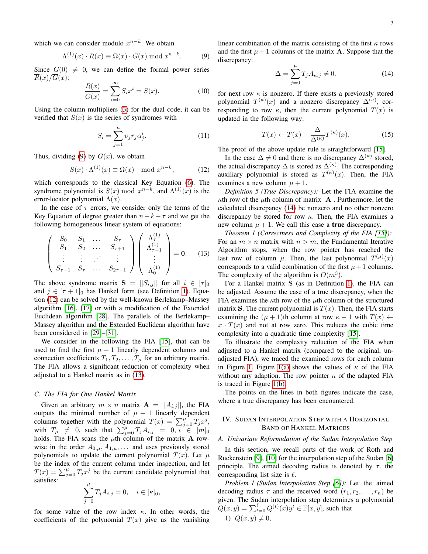which we can consider modulo  $x^{n-k}$ . We obtain

<span id="page-3-1"></span>
$$
\Lambda^{(1)}(x) \cdot \overline{R}(x) \equiv \Omega(x) \cdot \overline{G}(x) \bmod x^{n-k}.
$$
 (9)

Since  $\overline{G}(0) \neq 0$ , we can define the formal power series  $\overline{R}(x)/\overline{G}(x)$ :

$$
\frac{\overline{R}(x)}{\overline{G}(x)} = \sum_{i=0}^{\infty} S_i x^i = S(x). \tag{10}
$$

Using the column multipliers [\(3\)](#page-2-5) for the dual code, it can be verified that  $S(x)$  is the series of syndromes with

$$
S_i = \sum_{j=1}^n v_j r_j \alpha_j^i.
$$
 (11)

Thus, dividing [\(9\)](#page-3-1) by  $\overline{G}(x)$ , we obtain

<span id="page-3-2"></span>
$$
S(x) \cdot \Lambda^{(1)}(x) \equiv \Omega(x) \mod x^{n-k}, \tag{12}
$$

which corresponds to the classical Key Equation [\(6\)](#page-2-1). The syndrome polynomial is  $S(x) \text{ mod } x^{n-k}$ , and  $\Lambda^{(1)}(x)$  is the error-locator polynomial  $\Lambda(x)$ .

In the case of  $\tau$  errors, we consider only the terms of the Key Equation of degree greater than  $n-k- \tau$  and we get the following homogeneous linear system of equations:

<span id="page-3-3"></span>
$$
\begin{pmatrix}\nS_0 & S_1 & \dots & S_{\tau} \\
S_1 & S_2 & \dots & S_{\tau+1} \\
\vdots & \vdots & \ddots & \vdots \\
S_{\tau-1} & S_{\tau} & \dots & S_{2\tau-1}\n\end{pmatrix}\n\begin{pmatrix}\n\Lambda_{\tau}^{(1)} \\
\Lambda_{\tau-1}^{(1)} \\
\vdots \\
\Lambda_{0}^{(1)}\n\end{pmatrix} = 0.
$$
\n(13)

The above syndrome matrix  $S = ||S_{i,j}||$  for all  $i \in [\tau]_0$ and  $j \in [\tau + 1]_0$  has Hankel form (see Definition [1\)](#page-2-6). Equation [\(12\)](#page-3-2) can be solved by the well-known Berlekamp–Massey algorithm [\[16\]](#page-13-2), [\[17\]](#page-13-3) or with a modification of the Extended Euclidean algorithm [\[28\]](#page-13-13). The parallels of the Berlekamp– Massey algorithm and the Extended Euclidean algorithm have been considered in [\[29\]](#page-13-14)–[\[31\]](#page-13-15).

We consider in the following the FIA [\[15\]](#page-13-1), that can be used to find the first  $\mu + 1$  linearly dependent columns and connection coefficients  $T_1, T_2, \ldots, T_\mu$  for an arbitrary matrix. The FIA allows a significant reduction of complexity when adjusted to a Hankel matrix as in [\(13\)](#page-3-3).

#### *C. The FIA for One Hankel Matrix*

Given an arbitrary  $m \times n$  matrix  $\mathbf{A} = ||A_{i,j}||$ , the FIA outputs the minimal number of  $\mu + 1$  linearly dependent columns together with the polynomial  $T(x) = \sum_{j=0}^{\mu} T_j x^j$ , with  $T_{\mu} \neq 0$ , such that  $\sum_{j=0}^{\mu} T_j A_{i,j} = 0, i \in [m]_0$ holds. The FIA scans the  $\mu$ th column of the matrix **A** rowwise in the order  $A_{0,\mu}, A_{1,\mu}, \ldots$  and uses previously stored polynomials to update the current polynomial  $T(x)$ . Let  $\mu$ be the index of the current column under inspection, and let  $T(x) = \sum_{j=0}^{\mu} T_j x^j$  be the current candidate polynomial that satisfies:  $\mu$ 

$$
\sum_{j=0}^{\mu} T_j A_{i,j} = 0, \quad i \in [\kappa]_0,
$$

for some value of the row index  $\kappa$ . In other words, the coefficients of the polynomial  $T(x)$  give us the vanishing linear combination of the matrix consisting of the first  $\kappa$  rows and the first  $\mu + 1$  columns of the matrix **A**. Suppose that the discrepancy:

<span id="page-3-4"></span>
$$
\Delta = \sum_{j=0}^{\mu} T_j A_{\kappa,j} \neq 0.
$$
 (14)

for next row  $\kappa$  is nonzero. If there exists a previously stored polynomial  $T^{(\kappa)}(x)$  and a nonzero discrepancy  $\Delta^{(\kappa)}$ , corresponding to row  $\kappa$ , then the current polynomial  $T(x)$  is updated in the following way:

<span id="page-3-7"></span>
$$
T(x) \leftarrow T(x) - \frac{\Delta}{\Delta^{(\kappa)}} T^{(\kappa)}(x). \tag{15}
$$

The proof of the above update rule is straightforward [\[15\]](#page-13-1).

In the case  $\Delta \neq 0$  and there is no discrepancy  $\Delta^{(\kappa)}$  stored, the actual discrepancy  $\Delta$  is stored as  $\Delta^{(\kappa)}$ . The corresponding auxiliary polynomial is stored as  $T^{(\kappa)}(x)$ . Then, the FIA examines a new column  $\mu + 1$ .

*Definition 5 (True Discrepancy):* Let the FIA examine the  $\kappa$ th row of the  $\mu$ th column of matrix **A**. Furthermore, let the calculated discrepancy [\(14\)](#page-3-4) be nonzero and no other nonzero discrepancy be stored for row  $\kappa$ . Then, the FIA examines a new column  $\mu + 1$ . We call this case a **true** discrepancy.

<span id="page-3-8"></span>*Theorem 1 (Correctness and Complexity of the FIA [\[15\]](#page-13-1)):* For an  $m \times n$  matrix with  $n > m$ , the Fundamental Iterative Algorithm stops, when the row pointer has reached the last row of column  $\mu$ . Then, the last polynomial  $T^{(\mu)}(x)$ corresponds to a valid combination of the first  $\mu + 1$  columns. The complexity of the algorithm is  $O(m^3)$ .

For a Hankel matrix S (as in Definition [1\)](#page-2-6), the FIA can be adjusted. Assume the case of a true discrepancy, when the FIA examines the  $\kappa$ th row of the  $\mu$ th column of the structured matrix S. The current polynomial is  $T(x)$ . Then, the FIA starts examining the  $(\mu + 1)$ th column at row  $\kappa - 1$  with  $T(x) \leftarrow$  $x \cdot T(x)$  and not at row zero. This reduces the cubic time complexity into a quadratic time complexity [\[15\]](#page-13-1).

To illustrate the complexity reduction of the FIA when adjusted to a Hankel matrix (compared to the original, unadjusted FIA), we traced the examined rows for each column in Figure [1.](#page-4-0) Figure [1\(a\)](#page-4-1) shows the values of  $\kappa$  of the FIA without any adaption. The row pointer  $\kappa$  of the adapted FIA is traced in Figure [1\(b\).](#page-4-2)

The points on the lines in both figures indicate the case, where a true discrepancy has been encountered.

#### <span id="page-3-0"></span>IV. SUDAN INTERPOLATION STEP WITH A HORIZONTAL BAND OF HANKEL MATRICES

#### *A. Univariate Reformulation of the Sudan Interpolation Step*

In this section, we recall parts of the work of Roth and Ruckenstein [\[9\]](#page-12-5), [\[10\]](#page-12-6) for the interpolation step of the Sudan [\[6\]](#page-12-2) principle. The aimed decoding radius is denoted by  $\tau$ , the corresponding list size is  $\ell$ .

<span id="page-3-6"></span><span id="page-3-5"></span>*Problem 1 (Sudan Interpolation Step [\[6\]](#page-12-2)):* Let the aimed decoding radius  $\tau$  and the received word  $(r_1, r_2, \ldots, r_n)$  be given. The Sudan interpolation step determines a polynomial  $Q(x, y) = \sum_{t=0}^{\ell} Q^{(t)}(x) y^t \in \mathbb{F}[x, y]$ , such that 1)  $Q(x, y) \neq 0$ ,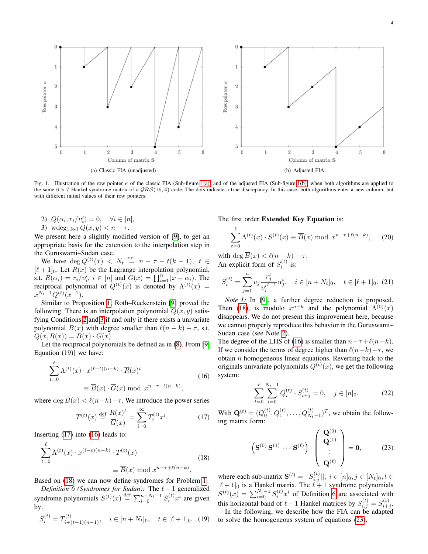

<span id="page-4-1"></span><span id="page-4-0"></span>Fig. 1. Illustration of the row pointer  $\kappa$  of the classic FIA (Sub-figure [1\(a\)\)](#page-4-1) and of the adjusted FIA (Sub-figure [1\(b\)\)](#page-4-2) when both algorithms are applied to the same  $6 \times 7$  Hankel syndrome matrix of a  $\mathcal{GRS}(16, 4)$  code. The dots indicate a true discrepancy. In this case, both algorithms enter a new column, but with different initial values of their row pointers.

2)  $Q(\alpha_i, r_i/v_i') = 0, \quad \forall i \in [n],$ 

<span id="page-4-3"></span>3) wdeg<sub>1,k-1</sub>  $Q(x, y) < n - \tau$ .

We present here a slightly modified version of [\[9\]](#page-12-5), to get an appropriate basis for the extension to the interpolation step in the Guruswami–Sudan case.

We have  $\deg Q^{(t)}(x) \leq N_t \stackrel{\text{def}}{=} n - \tau - t(k-1), t \in$  $[\ell + 1]_0$ . Let  $R(x)$  be the Lagrange interpolation polynomial, s.t.  $R(\alpha_i) = r_i/v'_i$ ,  $i \in [n]$  and  $G(x) = \prod_{i=1}^n (x - \alpha_i)$ . The reciprocal polynomial of  $Q^{(t)}(x)$  is denoted by  $\Lambda^{(t)}(x) =$  $x^{N_t-1}Q^{(t)}(x^{-1}).$ 

Similar to Proposition [1,](#page-2-7) Roth–Ruckenstein [\[9\]](#page-12-5) proved the following. There is an interpolation polynomial  $Q(x, y)$  satisfying Conditions [2](#page-3-5) and [3](#page-4-3) if and only if there exists a univariate polynomial  $B(x)$  with degree smaller than  $\ell(n-k) - \tau$ , s.t.  $Q(x, R(x)) = B(x) \cdot G(x).$ 

Let the reciprocal polynomials be defined as in [\(8\)](#page-2-4). From [\[9,](#page-12-5) Equation (19)] we have:

<span id="page-4-5"></span>
$$
\sum_{t=0}^{\ell} \Lambda^{(t)}(x) \cdot x^{(\ell-t)(n-k)} \cdot \overline{R}(x)^t
$$
\n
$$
\equiv \overline{B}(x) \cdot \overline{G}(x) \bmod x^{n-\tau+\ell(n-k)},
$$
\n(16)

where deg  $\overline{B}(x) < \ell(n-k)-\tau$ . We introduce the power series

<span id="page-4-4"></span>
$$
T^{(t)}(x) \stackrel{\text{def}}{=} \frac{\overline{R}(x)^t}{\overline{G}(x)} = \sum_{i=0}^{\infty} T_i^{(t)} x^i.
$$
 (17)

Inserting [\(17\)](#page-4-4) into [\(16\)](#page-4-5) leads to:

<span id="page-4-6"></span>
$$
\sum_{t=0}^{\ell} \Lambda^{(t)}(x) \cdot x^{(\ell-t)(n-k)} \cdot T^{(t)}(x)
$$

$$
\equiv \overline{B}(x) \bmod x^{n-\tau+\ell(n-k)}.
$$
(18)

Based on [\(18\)](#page-4-6) we can now define syndromes for Problem [1.](#page-3-6)

<span id="page-4-7"></span>*Definition 6 (Syndromes for Sudan):* The  $\ell + 1$  generalized syndrome polynomials  $S^{(t)}(x) \stackrel{\text{def}}{=} \sum_{i=0}^{n+N_t-1} S_i^{(t)} x^i$  are given by:

$$
S_i^{(t)} = T_{i+(t-1)(n-1)}^{(t)}, \quad i \in [n+N_t]_0, \quad t \in [\ell+1]_0. \tag{19}
$$

<span id="page-4-2"></span>The first order Extended Key Equation is:

$$
\sum_{t=0}^{\ell} \Lambda^{(t)}(x) \cdot S^{(t)}(x) \equiv \overline{B}(x) \bmod x^{n-\tau+\ell(n-k)}, \quad (20)
$$

with deg  $B(x) < \ell(n-k) - \tau$ . An explicit form of  $S_i^{(t)}$  is:

$$
S_i^{(t)} = \sum_{j=1}^n v_j \frac{r_j^t}{v_i'^{t-1}} \alpha_j^i, \quad i \in [n+N_t]_0, \quad t \in [\ell+1]_0. \tag{21}
$$

<span id="page-4-9"></span>*Note 1:* In [\[9\]](#page-12-5), a further degree reduction is proposed. Then [\(18\)](#page-4-6), is modulo  $x^{n-k}$  and the polynomial  $\Lambda^{(0)}(x)$ disappears. We do not present this improvement here, because we cannot properly reproduce this behavior in the Guruswami– Sudan case (see Note [2\)](#page-8-0).

The degree of the LHS of [\(16\)](#page-4-5) is smaller than  $n - \tau + \ell(n-k)$ . If we consider the terms of degree higher than  $\ell(n-k)-\tau$ , we obtain  $n$  homogeneous linear equations. Reverting back to the originals univariate polynomials  $Q^{(t)}(x)$ , we get the following system:

$$
\sum_{t=0}^{\ell} \sum_{i=0}^{N_t - 1} Q_i^{(t)} \cdot S_{i+j}^{(t)} = 0, \quad j \in [n]_0.
$$
 (22)

With  $\mathbf{Q}^{(t)} = (Q_0^{(t)}, Q_1^{(t)}, \dots, Q_{N_t-1}^{(t)})^T$ , we obtain the following matrix form:

<span id="page-4-8"></span>
$$
\left(\mathbf{S}^{(0)}\,\mathbf{S}^{(1)}\,\cdots\,\mathbf{S}^{(\ell)}\right)\cdot\left(\begin{array}{c}\mathbf{Q}^{(0)}\\ \mathbf{Q}^{(1)}\\ \vdots\\ \mathbf{Q}^{(\ell)}\end{array}\right)=\mathbf{0},\qquad(23)
$$

where each sub-matrix  $S^{(t)} = |S_{i,j}^{(t)}|, i \in [n]_0, j \in [N_t]_0, t \in$  $[\ell+1]_0$  is a Hankel matrix. The  $\ell+1$  syndrome polynomials  $S^{(t)}(x) = \sum_{i=0}^{N_t-1} S_i^{(t)} x^i$  of Definition [6](#page-4-7) are associated with this horizontal band of  $\ell + 1$  Hankel matrices by  $S_{i,j}^{(t)} = S_{i+j}^{(t)}$ .

In the following, we describe how the FIA can be adapted to solve the homogeneous system of equations [\(23\)](#page-4-8).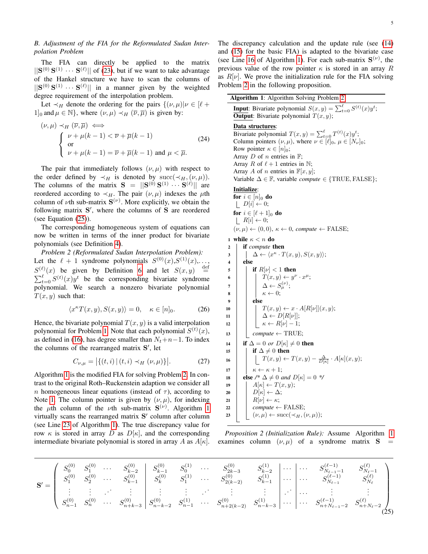#### *B. Adjustment of the FIA for the Reformulated Sudan Interpolation Problem*

The FIA can directly be applied to the matrix  $||S^{(0)}S^{(1)} \cdots S^{(\ell)}||$  of [\(23\)](#page-4-8), but if we want to take advantage of the Hankel structure we have to scan the columns of  $||S^{(0)}S^{(1)} \cdots S^{(\ell)}||$  in a manner given by the weighted degree requirement of the interpolation problem.

Let  $\prec_H$  denote the ordering for the pairs  $\{(\nu,\mu)| \nu \in [\ell +]$  $1|_0$  and  $\mu \in \mathbb{N}$ , where  $(\nu, \mu) \prec_H (\overline{\nu}, \overline{\mu})$  is given by:

$$
(\nu, \mu) \prec_H (\overline{\nu}, \overline{\mu}) \iff
$$
  
\n
$$
\begin{cases}\n\nu + \mu(k - 1) < \overline{\nu} + \overline{\mu}(k - 1) \\
\text{or} \\
\nu + \mu(k - 1) = \overline{\nu} + \overline{\mu}(k - 1) \text{ and } \mu < \overline{\mu}.\n\end{cases}
$$
\n(24)

The pair that immediately follows  $(\nu, \mu)$  with respect to the order defined by  $\prec_H$  is denoted by succ( $\prec_H$ ,  $(\nu, \mu)$ ). The columns of the matrix  $S = ||S^{(0)}S^{(1)} \cdots S^{(\ell)}||$  are reordered according to  $\prec_H$ . The pair  $(\nu, \mu)$  indexes the  $\mu$ th column of  $\nu$ th sub-matrix  $S^{(\nu)}$ . More explicitly, we obtain the following matrix S', where the columns of S are reordered (see Equation [\(25\)](#page-5-0)).

The corresponding homogeneous system of equations can now be written in terms of the inner product for bivariate polynomials (see Definition [4\)](#page-2-8).

<span id="page-5-2"></span>*Problem 2 (Reformulated Sudan Interpolation Problem):* Let the  $\ell + 1$  syndrome polynomials  $S^{(0)}(x), S^{(1)}(x), \ldots$ ,  $S^{(\ell)}(x)$  be given by Definition [6](#page-4-7) and let  $S(x, y) \stackrel{\text{def}}{=}$  $S^{(\ell)}(x)$  be given by Definition 6 and let  $S(x, y) \stackrel{\text{def}}{=} \sum_{t=0}^{\ell} S^{(t)}(x) y^t$  be the corresponding bivariate syndrome polynomial. We search a nonzero bivariate polynomial  $T(x, y)$  such that:

$$
\langle x^{\kappa} T(x, y), S(x, y) \rangle = 0, \quad \kappa \in [n]_0.
$$
 (26)

Hence, the bivariate polynomial  $T(x, y)$  is a valid interpolation polynomial for Problem [1.](#page-3-6) Note that each polynomial  $S^{(t)}(x)$ , as defined in [\(16\)](#page-4-5), has degree smaller than  $N_t+n-1$ . To index the columns of the rearranged matrix S', let

<span id="page-5-6"></span>
$$
C_{\nu,\mu} = | \{ (t,i) \mid (t,i) \prec_H (\nu,\mu) \} |.
$$
 (27)

Algorithm [1](#page-5-1) is the modified FIA for solving Problem [2.](#page-5-2) In contrast to the original Roth–Ruckenstein adaption we consider all n homogeneous linear equations (instead of  $\tau$ ), according to Note [1.](#page-4-9) The column pointer is given by  $(\nu, \mu)$ , for indexing the  $\mu$ th column of the  $\nu$ th sub-matrix  $S^{(\nu)}$ . Algorithm [1](#page-5-1) virtually scans the rearranged matrix S' column after column (see Line [23](#page-5-3) of Algorithm [1\)](#page-5-1). The true discrepancy value for row  $\kappa$  is stored in array D as  $D[\kappa]$ , and the corresponding intermediate bivariate polynomial is stored in array A as  $A[\kappa]$ . The discrepancy calculation and the update rule (see [\(14\)](#page-3-4) and [\(15\)](#page-3-7) for the basic FIA) is adapted to the bivariate case (see Line [16](#page-5-4) of Algorithm [1\)](#page-5-1). For each sub-matrix  $S^{(\nu)}$ , the previous value of the row pointer  $\kappa$  is stored in an array R as  $R[\nu]$ . We prove the initialization rule for the FIA solving Problem [2](#page-5-2) in the following proposition.

<span id="page-5-1"></span>

| <b>Algorithm 1:</b> Algorithm Solving Problem 2                                                |  |  |  |  |  |  |  |
|------------------------------------------------------------------------------------------------|--|--|--|--|--|--|--|
| <b>Input:</b> Bivariate polynomial $S(x, y) = \sum_{t=0}^{l} S^{(t)}(x) y^t$ ;                 |  |  |  |  |  |  |  |
| <b>Output:</b> Bivariate polynomial $T(x, y)$ ;                                                |  |  |  |  |  |  |  |
| Data structures:                                                                               |  |  |  |  |  |  |  |
| Bivariate polynomial $T(x, y) = \sum_{t=0}^{\ell} T^{(t)}(x) y^t$ ;                            |  |  |  |  |  |  |  |
| Column pointers $(\nu, \mu)$ , where $\nu \in [\ell]_0$ , $\mu \in [N_{\nu}]_0$ ;              |  |  |  |  |  |  |  |
| Row pointer $\kappa \in [n]_0$ ;                                                               |  |  |  |  |  |  |  |
| Array D of n entries in $\mathbb{F}$ ;                                                         |  |  |  |  |  |  |  |
| Array R of $\ell + 1$ entries in N;                                                            |  |  |  |  |  |  |  |
| Array A of n entries in $\mathbb{F}[x,y]$ ;                                                    |  |  |  |  |  |  |  |
| Variable $\Delta \in \mathbb{F}$ , variable <i>compute</i> $\in \{TRUE, FALSE\};$              |  |  |  |  |  |  |  |
| Initialize:                                                                                    |  |  |  |  |  |  |  |
| for $i \in [n]_0$ do                                                                           |  |  |  |  |  |  |  |
| $\left  D[i] \leftarrow 0; \right.$                                                            |  |  |  |  |  |  |  |
| for $i \in [\ell+1]_0$ do                                                                      |  |  |  |  |  |  |  |
| $ R[i] \leftarrow 0;$                                                                          |  |  |  |  |  |  |  |
| $(\nu, \mu) \leftarrow (0, 0), \kappa \leftarrow 0, \text{ compute } \leftarrow \text{FALSE};$ |  |  |  |  |  |  |  |
| while $\kappa < n$ do<br>$\mathbf{1}$                                                          |  |  |  |  |  |  |  |
| if compute then<br>$\boldsymbol{2}$                                                            |  |  |  |  |  |  |  |
| $\Delta \leftarrow \langle x^{\kappa} \cdot T(x, y), S(x, y) \rangle;$<br>3                    |  |  |  |  |  |  |  |
| else<br>4                                                                                      |  |  |  |  |  |  |  |
| if $R[\nu] < 1$ then<br>5                                                                      |  |  |  |  |  |  |  |
| $T(x, y) \leftarrow y^{\nu} \cdot x^{\mu};$<br>6                                               |  |  |  |  |  |  |  |
| $\Delta \leftarrow S_{\mu}^{(\nu)}$ ;<br>7                                                     |  |  |  |  |  |  |  |
| $\kappa \leftarrow 0$ :<br>8                                                                   |  |  |  |  |  |  |  |
| else<br>9                                                                                      |  |  |  |  |  |  |  |
| $T(x,y) \leftarrow x \cdot A[R[\nu]](x,y);$<br>10                                              |  |  |  |  |  |  |  |
| $\Delta \leftarrow D[R[\nu]] ;$<br>11                                                          |  |  |  |  |  |  |  |
| $\kappa \leftarrow R[\nu] - 1;$<br>12                                                          |  |  |  |  |  |  |  |
| $\textit{compute} \gets \text{TRUE};$<br>13                                                    |  |  |  |  |  |  |  |
| if $\Delta = 0$ or $D[\kappa] \neq 0$ then<br>14                                               |  |  |  |  |  |  |  |
| if $\Delta \neq 0$ then<br>15                                                                  |  |  |  |  |  |  |  |
| $T(x,y) \leftarrow T(x,y) - \frac{\Delta}{D[\kappa]} \cdot A[\kappa](x,y);$<br>16              |  |  |  |  |  |  |  |
| $\kappa \leftarrow \kappa + 1;$<br>17                                                          |  |  |  |  |  |  |  |
| else /* $\Delta \neq 0$ and $D[\kappa] = 0$ */<br>18                                           |  |  |  |  |  |  |  |
| $A[\kappa] \leftarrow T(x, y);$<br>19                                                          |  |  |  |  |  |  |  |
| $D[\kappa] \leftarrow \Delta;$<br>20                                                           |  |  |  |  |  |  |  |
| $R[\nu] \leftarrow \kappa;$<br>21                                                              |  |  |  |  |  |  |  |
| $compute \leftarrow FALSE;$<br>22                                                              |  |  |  |  |  |  |  |
| $(\nu, \mu) \leftarrow \text{succ}(\prec_H, (\nu, \mu));$<br>23                                |  |  |  |  |  |  |  |
|                                                                                                |  |  |  |  |  |  |  |
| $\mathbf{r}$                                                                                   |  |  |  |  |  |  |  |

<span id="page-5-5"></span><span id="page-5-4"></span><span id="page-5-3"></span>*Proposition 2 (Initialization Rule):* Assume Algorithm [1](#page-5-1) examines column  $(\nu, \mu)$  of a syndrome matrix **S** 

<span id="page-5-0"></span>

|  |  |  |  |  |  | $\mathbf{S'}=\left( \begin{array}{cccccc} S_0^{(0)} & S_1^{(0)} & \cdots & S_{k-2}^{(0)} \\ S_1^{(0)} & S_2^{(0)} & \cdots & S_{k-1}^{(0)} \\ \vdots & \vdots & \ddots & \vdots \\ S_{n-1}^{(0)} & S_n^{(0)} & \cdots & S_{n+k-3}^{(0)} \\ \end{array} \right  \left. \begin{array}{cccccc} S_0^{(0)} & S_0^{(1)} & \cdots & S_{2k-3}^{(0)} & S_{k-2}^{(1)} \\ S_k^{(0)} & S_1^{(1)} & \cdots & S_{2(k-2)}^{(0$ |  |
|--|--|--|--|--|--|-----------------------------------------------------------------------------------------------------------------------------------------------------------------------------------------------------------------------------------------------------------------------------------------------------------------------------------------------------------------------------------------------------------------|--|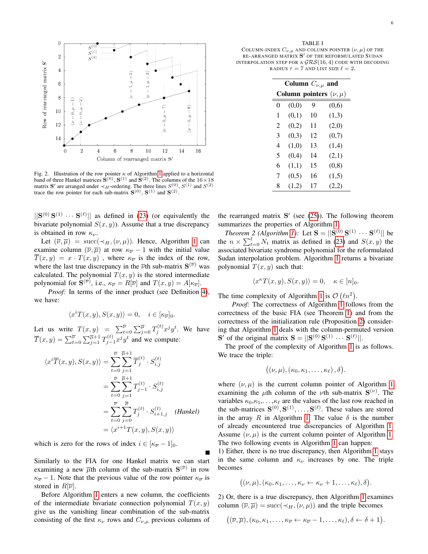

<span id="page-6-0"></span>Fig. 2. Illustration of the row pointer  $\kappa$  of Algorithm [1](#page-5-1) applied to a horizontal band of three Hankel matrices  $S^{(0)}$ ,  $S^{(1)}$  and  $S^{(2)}$ . The columns of the  $16 \times 18$ matrix S' are arranged under  $\prec_H$ -ordering. The three lines  $S^{(0)}$ ,  $S^{(1)}$  and  $S^{(2)}$ trace the row pointer for each sub-matrix  $S^{(0)}$ ,  $S^{(1)}$  and  $S^{(2)}$ .

 $||S^{(0)}S^{(1)} \cdots S^{(\ell)}||$  as defined in [\(23\)](#page-4-8) (or equivalently the bivariate polynomial  $S(x, y)$ ). Assume that a true discrepancy is obtained in row  $\kappa_{\nu}$ .

Let  $(\overline{\nu}, \overline{\mu}) = \text{succ}(\prec_H, (\nu, \mu))$ . Hence, Algorithm [1](#page-5-1) can examine column  $(\overline{\nu}, \overline{\mu})$  at row  $\kappa_{\overline{\nu}} - 1$  with the initial value  $\overline{T}(x, y) = x \cdot T(x, y)$ , where  $\kappa_{\overline{\nu}}$  is the index of the row, where the last true discrepancy in the  $\overline{\nu}$ th sub-matrix  $S^{(\overline{\nu})}$  was calculated. The polynomial  $T(x, y)$  is the stored intermediate polynomial for  $S^{(\overline{\nu})}$ , i.e.,  $\kappa_{\overline{\nu}} = R[\overline{\nu}]$  and  $T(x, y) = A[\kappa_{\overline{\nu}}]$ .

*Proof:* In terms of the inner product (see Definition [4\)](#page-2-8), we have:

$$
\langle x^{i}T(x,y), S(x,y) \rangle = 0, \quad i \in [\kappa_{\overline{\nu}}]_0.
$$

Let us write  $T(x,y) = \sum_{t=0}^{\overline{\nu}} \sum_{j=0}^{\overline{\mu}} T_j^{(t)} x^j y^t$ . We have  $\overline{T}(x,y) = \sum_{t=0}^{\overline{\nu}} \sum_{j=1}^{\overline{\mu}+1} T_{j-1}^{(t)} x^j y^t$  and we compute:

$$
\langle x^{i}\overline{T}(x,y), S(x,y)\rangle = \sum_{t=0}^{\overline{\nu}} \sum_{j=1}^{\overline{\mu}+1} \overline{T}_{j}^{(t)} \cdot S_{i,j}^{(t)}
$$
  

$$
= \sum_{t=0}^{\overline{\nu}} \sum_{j=1}^{\overline{\mu}+1} T_{j-1}^{(t)} \cdot S_{i,j}^{(t)}
$$
  

$$
= \sum_{t=0}^{\overline{\nu}} \sum_{j=0}^{\overline{\mu}} T_{j}^{(t)} \cdot S_{i+1,j}^{(t)}
$$
 (Hankel)  

$$
= \langle x^{i+1}T(x,y), S(x,y) \rangle
$$

which is zero for the rows of index  $i \in [\kappa_{\overline{\nu}}-1]_0$ .

Similarly to the FIA for one Hankel matrix we can start examining a new  $\overline{\mu}$ th column of the sub-matrix  $S^{(\overline{\nu})}$  in row  $\kappa_{\overline{\nu}} - 1$ . Note that the previous value of the row pointer  $\kappa_{\overline{\nu}}$  is stored in  $R[\overline{\nu}]$ .

Before Algorithm [1](#page-5-1) enters a new column, the coefficients of the intermediate bivariate connection polynomial  $T(x, y)$ give us the vanishing linear combination of the sub-matrix consisting of the first  $\kappa_{\nu}$  rows and  $C_{\nu,\mu}$  previous columns of

<span id="page-6-1"></span>TABLE I COLUMN-INDEX  $C_{\nu,\mu}$  and column pointer  $(\nu,\mu)$  of the RE-ARRANGED MATRIX  $S'$  of the reformulated Sudan INTERPOLATION STEP FOR A  $GRS(16, 4)$  CODE WITH DECODING RADIUS  $\tau = 7$  AND LIST SIZE  $\ell = 2$ .

| Column $C_{\nu,\mu}$ and |       |    |                              |  |  |  |  |
|--------------------------|-------|----|------------------------------|--|--|--|--|
|                          |       |    | Column pointers $(\nu, \mu)$ |  |  |  |  |
| 0                        | (0,0) | 9  | (0,6)                        |  |  |  |  |
| 1                        | (0,1) | 10 | (1,3)                        |  |  |  |  |
| 2                        | (0,2) | 11 | (2,0)                        |  |  |  |  |
| 3                        | (0,3) | 12 | (0,7)                        |  |  |  |  |
| 4                        | (1,0) | 13 | (1,4)                        |  |  |  |  |
| 5                        | (0,4) | 14 | (2,1)                        |  |  |  |  |
| 6                        | (1,1) | 15 | (0, 8)                       |  |  |  |  |
| 7                        | (0,5) | 16 | (1,5)                        |  |  |  |  |
| 8                        | (1,2) | 17 | (2,2)                        |  |  |  |  |

the rearranged matrix  $S'$  (see [\(25\)](#page-5-0)). The following theorem summarizes the properties of Algorithm [1.](#page-5-1)

*Theorem 2 (Algorithm [1\)](#page-5-1):* Let  $S = ||S^{(0)}S^{(1)} \cdots S^{(\ell)}||$  be the  $n \times \sum_{t=0}^{\ell} N_t$  matrix as defined in [\(23\)](#page-4-8) and  $S(x, y)$  the associated bivariate syndrome polynomial for the reformulated Sudan interpolation problem. Algorithm [1](#page-5-1) returns a bivariate polynomial  $T(x, y)$  such that:

$$
\langle x^{\kappa} T(x, y), S(x, y) \rangle = 0, \quad \kappa \in [n]_0.
$$

The time complexity of Algorithm [1](#page-5-1) is  $\mathcal{O}(ln^2)$ .

*Proof:* The correctness of Algorithm [1](#page-5-1) follows from the correctness of the basic FIA (see Theorem [1\)](#page-3-8) and from the correctness of the initialization rule (Proposition [2\)](#page-5-5) considering that Algorithm [1](#page-5-1) deals with the column-permuted version  $\mathbf{S}'$  of the original matrix  $\mathbf{S} = ||\mathbf{S}^{(0)}\mathbf{S}^{(1)}\cdots\mathbf{S}^{(\ell)}||.$ 

The proof of the complexity of Algorithm [1](#page-5-1) is as follows. We trace the triple:

$$
((\nu,\mu),(\kappa_0,\kappa_1,\ldots,\kappa_\ell),\delta).
$$

where  $(\nu, \mu)$  is the current column pointer of Algorithm [1](#page-5-1) examining the  $\mu$ th column of the  $\nu$ th sub-matrix  $S^{(\nu)}$ . The variables  $\kappa_0, \kappa_1, \ldots, \kappa_\ell$  are the values of the last row reached in the sub-matrices  $S^{(0)}, S^{(1)}, \ldots, S^{(\ell)}$ . These values are stored in the array R in Algorithm [1.](#page-5-1) The value  $\delta$  is the number of already encountered true discrepancies of Algorithm [1.](#page-5-1) Assume  $(\nu, \mu)$  is the current column pointer of Algorithm [1.](#page-5-1) The two following events in Algorithm [1](#page-5-1) can happen:

1) Either, there is no true discrepancy, then Algorithm [1](#page-5-1) stays in the same column and  $\kappa_{\nu}$  increases by one. The triple becomes

$$
((\nu,\mu),(\kappa_0,\kappa_1,\ldots,\kappa_\nu\leftarrow \kappa_\nu+1,\ldots,\kappa_\ell),\delta).
$$

2) Or, there is a true discrepancy, then Algorithm [1](#page-5-1) examines column  $(\overline{\nu}, \overline{\mu}) = \text{succ}(\prec_H, (\nu, \mu))$  and the triple becomes

$$
((\overline{\nu},\overline{\mu}),(\kappa_0,\kappa_1,\ldots,\kappa_{\overline{\nu}}\leftarrow \kappa_{\overline{\nu}}-1,\ldots,\kappa_{\ell}),\delta\leftarrow \delta+1).
$$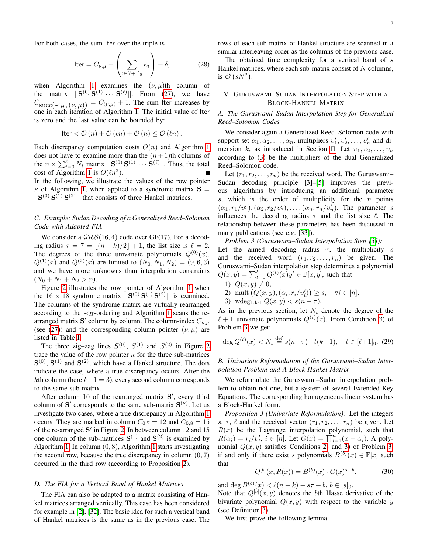$$
\text{Iter} = C_{\nu,\mu} + \left(\sum_{t \in [\ell+1]_0} \kappa_t\right) + \delta,\tag{28}
$$

when Algorithm [1](#page-5-1) examines the  $(\nu, \mu)$ th column of the matrix  $||S^{(0)}S^{(1)} \cdots S^{(\ell)}||$ . From [\(27\)](#page-5-6), we have  $C_{\text{succ}(\prec_H, (\nu, \mu))} = C_{(\nu, \mu)} + 1$ . The sum Iter increases by one in each iteration of Algorithm [1.](#page-5-1) The initial value of Iter is zero and the last value can be bounded by:

$$
\mathsf{Iter} < \mathcal{O}\left(n\right) + \mathcal{O}\left(\ell n\right) + \mathcal{O}\left(n\right) \leq \mathcal{O}\left(\ell n\right).
$$

Each discrepancy computation costs  $O(n)$  and Algorithm [1](#page-5-1) does not have to examine more than the  $(n+1)$ th columns of the  $n \times \sum_{t=0}^{\ell} N_t$  matrix  $||\mathbf{S}_{\infty}^{(0)} \mathbf{S}^{(1)} \cdots \mathbf{S}^{(\ell)}||$ . Thus, the total cost of Algorithm [1](#page-5-1) is  $O(\ell n^2)$ . In the following, we illustrate the values of the row pointer  $\kappa$  of Algorithm [1,](#page-5-1) when applied to a syndrome matrix  $S =$  $||S^{(0)}S^{(1)}S^{(2)}||$  that consists of three Hankel matrices.

#### *C. Example: Sudan Decoding of a Generalized Reed–Solomon Code with Adapted FIA*

We consider a  $GRS(16, 4)$  code over GF(17). For a decoding radius  $\tau = 7 = \lfloor (n-k)/2 \rfloor + 1$ , the list size is  $\ell = 2$ . The degrees of the three univariate polynomials  $Q^{(0)}(x)$ ,  $Q^{(1)}(x)$  and  $Q^{(2)}(x)$  are limited to  $(N_0, N_1, N_2) = (9, 6, 3)$ and we have more unknowns than interpolation constraints  $(N_0 + N_1 + N_2 > n).$ 

Figure [2](#page-6-0) illustrates the row pointer of Algorithm [1](#page-5-1) when the  $16 \times 18$  syndrome matrix  $\|\mathbf{S}^{(0)}\mathbf{S}^{(1)}\mathbf{S}^{(2)}\|$  is examined. The columns of the syndrome matrix are virtually rearranged according to the  $\prec_H$ -ordering and Algorithm [1](#page-5-1) scans the rearranged matrix S' column by column. The column-index  $C_{\nu,\mu}$ (see [\(27\)](#page-5-6)) and the corresponding column pointer  $(\nu, \mu)$  are listed in Table [I.](#page-6-1)

The three zig-zag lines  $S^{(0)}$ ,  $S^{(1)}$  and  $S^{(2)}$  in Figure [2](#page-6-0) trace the value of the row pointer  $\kappa$  for the three sub-matrices  $S^{(0)}$ ,  $S^{(1)}$  and  $S^{(2)}$ , which have a Hankel structure. The dots indicate the case, where a true discrepancy occurs. After the kth column (here  $k-1 = 3$ ), every second column corresponds to the same sub-matrix.

After column 10 of the rearranged matrix S', every third column of S' corresponds to the same sub-matrix  $S^{(\nu)}$ . Let us investigate two cases, where a true discrepancy in Algorithm [1](#page-5-1) occurs. They are marked in column  $C_{0,7} = 12$  and  $C_{0,8} = 15$ of the re-arranged S' in Figure [2.](#page-6-0) In between column 12 and 15 one column of the sub-matrices  $S^{(1)}$  and  $S^{(2)}$  is examined by Algorithm [1.](#page-5-1) In column  $(0, 8)$ , Algorithm [1](#page-5-1) starts investigating the second row, because the true discrepancy in column  $(0, 7)$ occurred in the third row (according to Proposition [2\)](#page-5-5).

#### *D. The FIA for a Vertical Band of Hankel Matrices*

The FIA can also be adapted to a matrix consisting of Hankel matrices arranged vertically. This case has been considered for example in [\[2\]](#page-12-11), [\[32\]](#page-13-16). The basic idea for such a vertical band of Hankel matrices is the same as in the previous case. The rows of each sub-matrix of Hankel structure are scanned in a similar interleaving order as the columns of the previous case.

The obtained time complexity for a vertical band of s Hankel matrices, where each sub-matrix consist of  $N$  columns, is  $\mathcal{O}(sN^2)$ .

#### <span id="page-7-0"></span>V. GURUSWAMI–SUDAN INTERPOLATION STEP WITH A BLOCK-HANKEL MATRIX

#### *A. The Guruswami–Sudan Interpolation Step for Generalized Reed–Solomon Codes*

We consider again a Generalized Reed–Solomon code with support set  $\alpha_1, \alpha_2, \ldots, \alpha_n$ , multipliers  $v'_1, v'_2, \ldots, v'_n$  and di-mension k, as introduced in Section [II.](#page-1-0) Let  $v_1, v_2, \ldots, v_n$ according to [\(3\)](#page-2-5) be the multipliers of the dual Generalized Reed–Solomon code.

Let  $(r_1, r_2, \ldots, r_n)$  be the received word. The Guruswami-Sudan decoding principle [\[3\]](#page-12-0)–[\[5\]](#page-12-1) improves the previous algorithms by introducing an additional parameter s, which is the order of multiplicity for the  $n$  points  $(\alpha_1, r_1/v_1'), (\alpha_2, r_2/v_2'), \ldots, (\alpha_n, r_n/v_n').$  The parameter s influences the decoding radius  $\tau$  and the list size  $\ell$ . The relationship between these parameters has been discussed in many publications (see e.g. [\[33\]](#page-13-17)).

<span id="page-7-2"></span>*Problem 3 (Guruswami–Sudan Interpolation Step [\[3\]](#page-12-0)):*

Let the aimed decoding radius  $\tau$ , the multiplicity s and the received word  $(r_1, r_2, \ldots, r_n)$  be given. The Guruswami–Sudan interpolation step determines a polynomial  $Q(x, y) = \sum_{t=0}^{\ell} Q^{(t)}(x) y^t \in \mathbb{F}[x, y]$ , such that

<span id="page-7-3"></span>1)  $Q(x, y) \neq 0$ , 2) mult  $(Q(x, y), (\alpha_i, r_i/v_i')) \geq s, \quad \forall i \in [n],$ 3) wdeg<sub>1,k-1</sub>  $Q(x, y) < s(n - \tau)$ .

<span id="page-7-1"></span>As in the previous section, let  $N_t$  denote the degree of the  $\ell + 1$  univariate polynomials  $Q^{(t)}(x)$ . From Condition [3\)](#page-7-1) of Problem [3](#page-7-2) we get:

$$
\deg Q^{(t)}(x) < N_t \stackrel{\text{def}}{=} s(n-\tau) - t(k-1), \quad t \in [\ell+1]_0. \tag{29}
$$

#### *B. Univariate Reformulation of the Guruswami–Sudan Interpolation Problem and A Block-Hankel Matrix*

We reformulate the Guruswami–Sudan interpolation problem to obtain not one, but a system of several Extended Key Equations. The corresponding homogeneous linear system has a Block-Hankel form.

<span id="page-7-4"></span>*Proposition 3 (Univariate Reformulation):* Let the integers s,  $\tau$ ,  $\ell$  and the received vector  $(r_1, r_2, \ldots, r_n)$  be given. Let  $R(x)$  be the Lagrange interpolation polynomial, such that  $R(\alpha_i) = r_i/v'_i, i \in [n]$ . Let  $G(x) = \prod_{i=1}^n (x - \alpha_i)$ . A polynomial  $Q(x, y)$  satisfies Conditions [2\)](#page-7-3) and [3\)](#page-7-1) of Problem [3,](#page-7-2) if and only if there exist s polynomials  $B^{(b)}(x) \in \mathbb{F}[x]$  such that

<span id="page-7-5"></span>
$$
Q^{[b]}(x, R(x)) = B^{(b)}(x) \cdot G(x)^{s-b}, \tag{30}
$$

and  $\deg B^{(b)}(x) < \ell(n-k) - s\tau + b, b \in [s]_0$ .

Note that  $Q^{[b]}(x, y)$  denotes the bth Hasse derivative of the bivariate polynomial  $Q(x, y)$  with respect to the variable y (see Definition [3\)](#page-2-9).

We first prove the following lemma.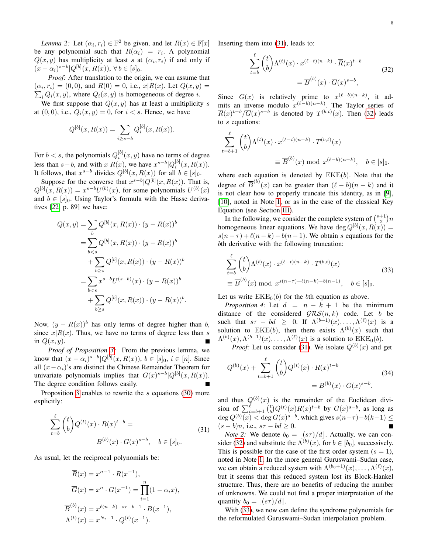*Lemma 2:* Let  $(\alpha_i, r_i) \in \mathbb{F}^2$  be given, and let  $R(x) \in \mathbb{F}[x]$ be any polynomial such that  $R(\alpha_i) = r_i$ . A polynomial  $Q(x, y)$  has multiplicity at least s at  $(\alpha_i, r_i)$  if and only if  $(x - \alpha_i)^{s-b} |Q^{[b]}(x, R(x)), \forall b \in [s]_0.$ 

*Proof:* After translation to the origin, we can assume that  $(\alpha_i, r_i) = (0, 0)$ , and  $R(0) = 0$ , i.e.,  $x | R(x)$ . Let  $Q(x, y) =$  $\sum_i Q_i(x, y)$ , where  $Q_i(x, y)$  is homogeneous of degree *i*.

We first suppose that  $Q(x, y)$  has at least a multiplicity s at  $(0, 0)$ , i.e.,  $Q_i(x, y) = 0$ , for  $i < s$ . Hence, we have

$$
Q^{[b]}(x, R(x)) = \sum_{i \ge s - b} Q_i^{[b]}(x, R(x)).
$$

For  $b < s$ , the polynomials  $Q_i^{[b]}(x, y)$  have no terms of degree less than  $s - b$ , and with  $x|R(x)$ , we have  $x^{s-b}|Q_i^{[b]}(x, R(x))$ . It follows, that  $x^{s-b}$  divides  $Q^{[b]}(x, R(x))$  for all  $b \in [s]_0$ .

Suppose for the converse that  $x^{s-b} |Q^{[b]}(x, R(x))$ . That is,  $Q^{[b]}(x, R(x)) = x^{s-b}U^{(b)}(x)$ , for some polynomials  $U^{(b)}(x)$ and  $b \in [s]_0$ . Using Taylor's formula with the Hasse derivatives [\[22,](#page-13-8) p. 89] we have:

$$
Q(x, y) = \sum_{b} Q^{[b]}(x, R(x)) \cdot (y - R(x))^b
$$
  
= 
$$
\sum_{b < s} Q^{[b]}(x, R(x)) \cdot (y - R(x))^b
$$
  
+ 
$$
\sum_{b \ge s} Q^{[b]}(x, R(x)) \cdot (y - R(x))^b
$$
  
= 
$$
\sum_{b < s} x^{s-b} U^{(s-b)}(x) \cdot (y - R(x))^b
$$
  
+ 
$$
\sum_{b \ge s} Q^{[b]}(x, R(x)) \cdot (y - R(x))^b.
$$

Now,  $(y - R(x))^b$  has only terms of degree higher than b, since  $x|R(x)$ . Thus, we have no terms of degree less than s in  $Q(x, y)$ .

*Proof of Proposition [3:](#page-7-4)* From the previous lemma, we know that  $(x - \alpha_i)^{s-b} |Q^{[b]}(x, R(x)), b \in [s]_0, i \in [n]$ . Since all  $(x - \alpha_i)$ 's are distinct the Chinese Remainder Theorem for univariate polynomials implies that  $G(x)^{s-b} |Q^{[b]}(x, R(x))$ . The degree condition follows easily.

Proposition [3](#page-7-4) enables to rewrite the s equations [\(30\)](#page-7-5) more explicitly:

<span id="page-8-1"></span>
$$
\sum_{t=b}^{\ell} {t \choose b} Q^{(t)}(x) \cdot R(x)^{t-b} =
$$
  
 
$$
B^{(b)}(x) \cdot G(x)^{s-b}, \quad b \in [s]_0.
$$
 (31)

As usual, let the reciprocal polynomials be:

$$
\overline{R}(x) = x^{n-1} \cdot R(x^{-1}),
$$
  
\n
$$
\overline{G}(x) = x^n \cdot G(x^{-1}) = \prod_{i=1}^n (1 - \alpha_i x),
$$
  
\n
$$
\overline{B}^{(b)}(x) = x^{\ell(n-k) - s\tau - b - 1} \cdot B(x^{-1}),
$$
  
\n
$$
\Lambda^{(t)}(x) = x^{N_t - 1} \cdot Q^{(t)}(x^{-1}).
$$

<span id="page-8-2"></span>Inserting them into [\(31\)](#page-8-1), leads to:

$$
\sum_{t=b}^{\ell} {t \choose b} \Lambda^{(t)}(x) \cdot x^{(\ell-t)(n-k)} \cdot \overline{R}(x)^{t-b}
$$
  

$$
= \overline{B}^{(b)}(x) \cdot \overline{G}(x)^{s-b},
$$
 (32)

Since  $G(x)$  is relatively prime to  $x^{(\ell-b)(n-k)}$ , it admits an inverse modulo  $x^{(\ell-b)(n-k)}$ . The Taylor series of  $\overline{R}(x)^{t-b}/\overline{G}(x)^{s-b}$  is denoted by  $T^{(b,t)}(x)$ . Then [\(32\)](#page-8-2) leads to s equations:

$$
\sum_{t=b+1}^{\ell} {t \choose b} \Lambda^{(t)}(x) \cdot x^{(\ell-t)(n-k)} \cdot T^{(b,t)}(x)
$$
  

$$
\equiv \overline{B}^{(b)}(x) \bmod x^{(\ell-b)(n-k)}, \quad b \in [s]_0.
$$

where each equation is denoted by  $EKE(b)$ . Note that the degree of  $\overline{B}^{(b)}(x)$  can be greater than  $(\ell - b)(n - k)$  and it is not clear how to properly truncate this identity, as in [\[9\]](#page-12-5), [\[10\]](#page-12-6), noted in Note [1,](#page-4-9) or as in the case of the classical Key Equation (see Section [III\)](#page-2-0).

In the following, we consider the complete system of  $\binom{s+1}{2}n$ homogeneous linear equations. We have  $\deg Q^{[b]}(x, R(x)) =$  $s(n-\tau) + \ell(n-k) - b(n-1)$ . We obtain s equations for the bth derivative with the following truncation:

<span id="page-8-3"></span>
$$
\sum_{t=b}^{\ell} {t \choose b} \Lambda^{(t)}(x) \cdot x^{(\ell-t)(n-k)} \cdot T^{(b,t)}(x)
$$
\n
$$
\equiv \overline{B}^{(b)}(x) \mod x^{s(n-\tau)+\ell(n-k)-b(n-1)}, \quad b \in [s]_0.
$$
\n(33)

Let us write  $EKE<sub>0</sub>(b)$  for the bth equation as above.

*Proposition 4:* Let  $d = n - k + 1$  be the minimum distance of the considered  $GRS(n, k)$  code. Let b be such that  $s\tau - bd \geq 0$ . If  $\Lambda^{(b+1)}(x), \ldots, \Lambda^{(\ell)}(x)$  is a solution to EKE(b), then there exists  $\Lambda^{(b)}(x)$  such that  $\Lambda^{(b)}(x), \Lambda^{(b+1)}(x), \ldots, \Lambda^{(\ell)}(x)$  is a solution to  $\text{EKE}_0(b)$ .

*Proof:* Let us consider [\(31\)](#page-8-1). We isolate  $Q^{(b)}(x)$  and get

$$
Q^{(b)}(x) + \sum_{t=b+1}^{\ell} {t \choose b} Q^{(t)}(x) \cdot R(x)^{t-b}
$$
  
=  $B^{(b)}(x) \cdot G(x)^{s-b}$ . (34)

and thus  $Q^{(b)}(x)$  is the remainder of the Euclidean division of  $\sum_{t=b+1}^{\ell} {t \choose b} Q^{(t)}(x) R(x)^{t-b}$  by  $G(x)^{s-b}$ , as long as  $\deg Q^{(b)}(x) < \deg G(x)^{s-b}$ , which gives  $s(n-\tau)-b(k-1) \le$  $(s - b)n$ , i.e.,  $s\tau - bd \geq 0$ .

<span id="page-8-0"></span>*Note* 2: We denote  $b_0 = \lfloor (s\tau)/d \rfloor$ . Actually, we can con-sider [\(32\)](#page-8-2) and substitute the  $\Lambda^{(b)}(x)$ , for  $b \in [b_0]$ , successively. This is possible for the case of the first order system  $(s = 1)$ , noted in Note [1.](#page-4-9) In the more general Guruswami–Sudan case, we can obtain a reduced system with  $\Lambda^{(b_0+1)}(x), \ldots, \Lambda^{(\ell)}(x)$ , but it seems that this reduced system lost its Block-Hankel structure. Thus, there are no benefits of reducing the number of unknowns. We could not find a proper interpretation of the quantity  $b_0 = |(s\tau)/d|$ .

<span id="page-8-4"></span>With [\(33\)](#page-8-3), we now can define the syndrome polynomials for the reformulated Guruswami–Sudan interpolation problem.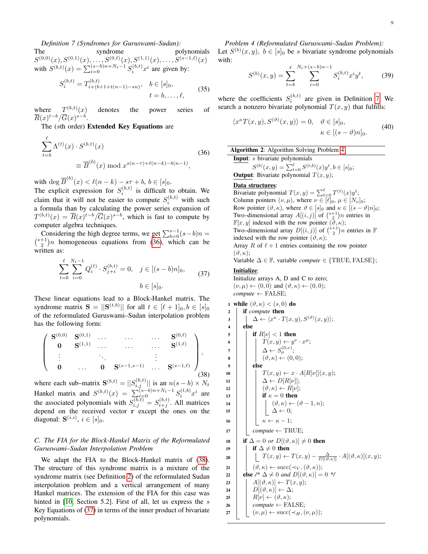#### *Definition 7 (Syndromes for Guruswami–Sudan):*

The syndrome polynomials  $S^{(0,0)}(x), S^{(0,1)}(x), \ldots, S^{(0,\ell)}(x), S^{(1,1)}(x), \ldots, S^{(s-1,\ell)}(x)$ with  $S^{(b,t)}(x) = \sum_{i=0}^{(s-b)n+N_t-1} S_i^{(b,t)} x^i$  are given by:  $\boldsymbol{\tau}^{(b,t)}$ 

$$
S_i^{(b,t)} = T_{i+(b+1+t(n-1)-sn)}^{(b,t)}, \quad b \in [s]_0, \n t = b, \dots, \ell,
$$
\n(35)

where  $T^{(b,t)}(x)$ denotes the power series of  $\overline{R}(x)^{t-b}/\overline{G}(x)^{s-b}.$ 

The (sth order) Extended Key Equations are

<span id="page-9-0"></span>
$$
\sum_{t=b}^{\ell} \Lambda^{(t)}(x) \cdot S^{(b,t)}(x)
$$
\n
$$
\equiv \overline{B}^{(b)}(x) \bmod x^{s(n-\tau) + \ell(n-k) - b(n-1)},
$$
\n(36)

with  $\deg \overline{B}^{(b)}(x) < \ell(n-k) - s\tau + b, b \in [s]_0$ .

The explicit expression for  $S_i^{(b,t)}$  is difficult to obtain. We claim that it will not be easier to compute  $S_i^{(b,t)}$  with such a formula than by calculating the power series expansion of  $T^{(b,t)}(x) = \overline{R}(x)^{t-b} / \overline{G}(x)^{s-b}$ , which is fast to compute by computer algebra techniques.

Considering the high degree terms, we get  $\sum_{b=0}^{s-1} (s-b)n =$ Considering the high degree terms, we get  $\sum_{b=0}^{s-1} (s-b)n =$ <br>  $\binom{s+1}{2}n$  homogeneous equations from [\(36\)](#page-9-0), which can be written as:

$$
\sum_{t=b}^{\ell} \sum_{i=0}^{N_t-1} Q_i^{(t)} \cdot S_{j+i}^{(b,t)} = 0, \quad j \in [(s-b)n]_0,
$$
  
\n
$$
b \in [s]_0.
$$
 (37)

<span id="page-9-2"></span>These linear equations lead to a Block-Hankel matrix. The syndrome matrix  $S = ||S^{(t,b)}||$  for all  $t \in [\ell+1]_0, b \in [s]_0$ of the reformulated Guruswami–Sudan interpolation problem has the following form:

<span id="page-9-1"></span>
$$
\left(\begin{array}{cccccc} \mathbf{S}^{(0,0)} & \mathbf{S}^{(0,1)} & \dots & \dots & \dots & \mathbf{S}^{(0,\ell)} \\ \mathbf{0} & \mathbf{S}^{(1,1)} & \dots & \dots & \dots & \mathbf{S}^{(1,\ell)} \\ \vdots & \ddots & \vdots & \vdots & \vdots \\ \mathbf{0} & \dots & \mathbf{0} & \mathbf{S}^{(s-1,s-1)} & \dots & \mathbf{S}^{(s-1,\ell)} \end{array}\right),\tag{38}
$$

where each sub–matrix  $S^{(b,t)} = ||S_{i,j}^{(b,t)}||$  is an  $n(s - b) \times N_t$ Hankel matrix and  $S^{(b,t)}(x) = \sum_{i=0}^{s-b} {s-b \choose i} {s+b \choose i} x^i$  are the associated polynomials with  $S_{i,j}^{(b,t)} = S_{i+j}^{(b,t)}$ . All matrices depend on the received vector r except the ones on the diagonal:  $S^{(i,i)}$ ,  $i \in [s]_0$ .

#### *C. The FIA for the Block-Hankel Matrix of the Reformulated Guruswami–Sudan Interpolation Problem*

<span id="page-9-3"></span>We adapt the FIA to the Block-Hankel matrix of [\(38\)](#page-9-1). The structure of this syndrome matrix is a mixture of the syndrome matrix (see Definition [2\)](#page-5-2) of the reformulated Sudan interpolation problem and a vertical arrangement of many Hankel matrices. The extension of the FIA for this case was hinted in [\[10,](#page-12-6) Section 5.2]. First of all, let us express the s Key Equations of [\(37\)](#page-9-2) in terms of the inner product of bivariate polynomials.

*Problem 4 (Reformulated Guruswami–Sudan Problem):* Let  $S^{(b)}(x, y)$ ,  $b \in [s]_0$  be s bivariate syndrome polynomials with:

$$
S^{(b)}(x,y) = \sum_{t=b}^{\ell} \sum_{i=0}^{N_t + (s-b)n - 1} S_i^{(b,t)} x^i y^t, \tag{39}
$$

where the coefficients  $S_i^{(b,t)}$  are given in Definition [7.](#page-8-4) We search a nonzero bivariate polynomial  $T(x, y)$  that fulfills:

$$
\langle x^{\kappa} T(x, y), S^{(\vartheta)}(x, y) \rangle = 0, \quad \vartheta \in [s]_0, \kappa \in [(s - \vartheta)n]_0.
$$
\n(40)

Algorithm 2: Algorithm Solving Problem [4](#page-9-3) Input: *s* bivariate polynomials  $S^{(b)}(x,y) = \sum_{t=0}^{\ell} S^{(t,b)}(x) y^t, b \in [s]_0;$ 

**Output**: Bivariate polynomial  $T(x, y)$ ;

#### Data structures:

Bivariate polynomial  $T(x, y) = \sum_{t=0}^{\ell} T^{(t)}(x) y^t$ ; Column pointers  $(\nu, \mu)$ , where  $\nu \in [\ell]_0$ ,  $\mu \in [N_{\nu}]_0$ ; Row pointer  $(\vartheta, \kappa)$ , where  $\vartheta \in [s]_0$  and  $\kappa \in [(s - \vartheta)n]_0$ ; Two–dimensional array  $A[(i, j)]$  of  $\binom{s+1}{2}n$  entries in  $\mathbb{F}[x, y]$  indexed with the row pointer  $(\theta, \kappa);$ Two–dimensional array  $D[(i, j)]$  of  $\binom{s+1}{2}n$  entries in  $\mathbb F$ indexed with the row pointer  $(\vartheta, \kappa);$ Array R of  $\ell + 1$  entries containing the row pointer  $(\vartheta,\kappa);$ Variable  $\Delta \in \mathbb{F}$ , variable *compute*  $\in$  {TRUE, FALSE};

#### Initialize:

Initialize arrays A, D and C to zero;  $(\nu, \mu) \leftarrow (0, 0)$  and  $(\vartheta, \kappa) \leftarrow (0, 0)$ ;  $compute \leftarrow FALSE;$ 

```
1 while (\vartheta, \kappa) < (s, 0) do
 2 if compute then
  \begin{array}{lcl} \mathbf{3} & || & \Delta \leftarrow \langle x^{\kappa} \cdot T(x,y), S^{(\vartheta)}(x,y) \rangle; \end{array}4 else
 5 \mid \cdot \mid if R[\nu] < 1 then
  6 \vert \vert T(x,y) \leftarrow y^{\nu} \cdot x^{\mu};
  \begin{array}{ccc} \texttt{7} & | & | & \Delta \leftarrow S_\mu^{(0,\nu)}; \end{array}\mathbf{s} ( \psi, \kappa) \leftarrow (0, 0);9 \mid \cdot \cdot else
10 \mid \cdot \mid T(x, y) \leftarrow x \cdot A[R[\nu]](x, y);11 \vert \vert \vert \Delta \leftarrow D[R[\nu]];
12 | \cdot | \cdot | \cdot (\vartheta, \kappa) \leftarrow R[\nu];13 if \kappa = 0 then
14 | \cdot | \cdot | \cdot (\vartheta, \kappa) \leftarrow (\vartheta - 1, n);15 | | | \Delta \leftarrow 0;16 \vert \vert \kappa \leftarrow \kappa - 1;17 | compute \leftarrow TRUE;
18 if \Delta = 0 or D[(\vartheta, \kappa)] \neq 0 then
19 | if \Delta \neq 0 then
20 \begin{array}{c|c|c|c} \hline \end{array} T(x,y) \leftarrow T(x,y) - \frac{\Delta}{D[(\vartheta,\kappa)]} \cdot A[(\vartheta,\kappa)](x,y);21 \left| \left| (\vartheta, \kappa) \leftarrow \text{succ}(\prec_V, (\vartheta, \kappa)); \right. \right.22 else \ell^* \Delta \neq 0 and D[(\vartheta, \kappa)] = 0 */
23 \left| A[(\vartheta,\kappa)] \leftarrow T(x,y);24 \left| D[(\vartheta,\kappa)] \leftarrow \Delta;25 \left| \right| R[\nu] \leftarrow (\vartheta, \kappa);26 | compute \leftarrow FALSE;
27 \vert \vert (\nu, \mu) \leftarrow \text{succ}(\prec_H, (\nu, \mu));
```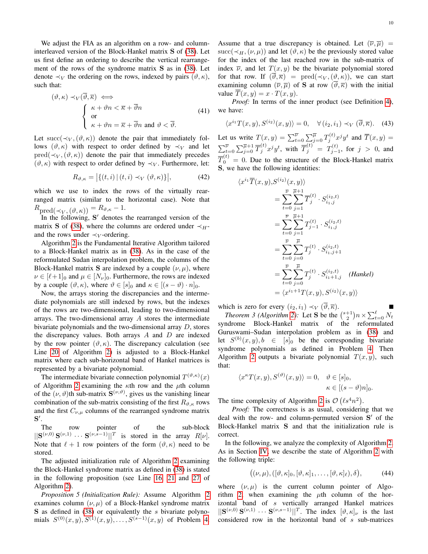We adjust the FIA as an algorithm on a row- and columninterleaved version of the Block-Hankel matrix S of [\(38\)](#page-9-1). Let us first define an ordering to describe the vertical rearrangement of the rows of the syndrome matrix S as in [\(38\)](#page-9-1). Let denote  $\prec_V$  the ordering on the rows, indexed by pairs  $(\vartheta, \kappa)$ , such that:

$$
(\vartheta, \kappa) \prec_V (\overline{\vartheta}, \overline{\kappa}) \iff \n\begin{cases}\n\kappa + \vartheta n < \overline{\kappa} + \overline{\vartheta} n \\
\text{or} \\
\kappa + \vartheta n = \overline{\kappa} + \overline{\vartheta} n \text{ and } \vartheta < \overline{\vartheta}.\n\end{cases} \tag{41}
$$

Let succ( $\prec_V, (\vartheta, \kappa)$ ) denote the pair that immediately follows  $(\vartheta, \kappa)$  with respect to order defined by  $\prec_V$  and let  $pred(\prec_V, (\vartheta, \kappa))$  denote the pair that immediately precedes  $(\vartheta, \kappa)$  with respect to order defined by  $\prec_V$ . Furthermore, let:

$$
R_{\vartheta,\kappa} = \left| \{ (t,i) \, | \, (t,i) \prec_V (\vartheta,\kappa) \} \right|,\tag{42}
$$

which we use to index the rows of the virtually rearranged matrix (similar to the horizontal case). Note that  $R_{\rm pred(\prec_V,(\vartheta,\kappa))}=R_{\vartheta,\kappa}-1.$ 

In the following, S' denotes the rearranged version of the matrix S of [\(38\)](#page-9-1), where the columns are ordered under  $\prec$ <sub>H</sub>and the rows under  $\prec_V$ -ordering.

Algorithm [2](#page-9-4) is the Fundamental Iterative Algorithm tailored to a Block-Hankel matrix as in [\(38\)](#page-9-1). As in the case of the reformulated Sudan interpolation problem, the columns of the Block-Hankel matrix S are indexed by a couple  $(\nu, \mu)$ , where  $\nu \in [\ell+1]_0$  and  $\mu \in [N_{\nu}]_0$ . Furthermore, the rows are indexed by a couple  $(\vartheta, \kappa)$ , where  $\vartheta \in [s]_0$  and  $\kappa \in [(s - \vartheta) \cdot n]_0$ .

Now, the arrays storing the discrepancies and the intermediate polynomials are still indexed by rows, but the indexes of the rows are two-dimensional, leading to two-dimensional arrays. The two-dimensional array A stores the intermediate bivariate polynomials and the two-dimensional array  $D$ , stores the discrepancy values. Both arrays  $A$  and  $D$  are indexed by the row pointer  $(\vartheta, \kappa)$ . The discrepancy calculation (see Line [20](#page-9-5) of Algorithm [2\)](#page-9-4) is adjusted to a Block-Hankel matrix where each sub-horizontal band of Hankel matrices is represented by a bivariate polynomial.

The intermediate bivariate connection polynomial  $T^{(\vartheta,\kappa)}(x)$ of Algorithm [2](#page-9-4) examining the  $\kappa$ th row and the  $\mu$ th column of the  $(\nu, \vartheta)$ th sub-matrix  $S^{(\nu, \vartheta)}$ , gives us the vanishing linear combination of the sub-matrix consisting of the first  $R_{\vartheta,\kappa}$  rows and the first  $C_{\nu,\mu}$  columns of the rearranged syndrome matrix  $\mathbf{S}'.$ 

The row pointer of the sub-block  $||\mathbf{S}^{(\nu,0)}\mathbf{S}^{(\nu,1)}\cdots\mathbf{S}^{(\nu,s-1)}||^T$  is stored in the array  $R[\nu]$ . Note that  $\ell + 1$  row pointers of the form  $(\vartheta, \kappa)$  need to be stored.

The adjusted initialization rule of Algorithm [2](#page-9-4) examining the Block-Hankel syndrome matrix as defined in [\(38\)](#page-9-1) is stated in the following proposition (see Line [16,](#page-9-6) [21](#page-9-7) and [27](#page-9-8) of Algorithm [2\)](#page-9-4).

*Proposition 5 (Initialization Rule):* Assume Algorithm [2](#page-9-4) examines column  $(\nu, \mu)$  of a Block-Hankel syndrome matrix  $S$  as defined in [\(38\)](#page-9-1) or equivalently the s bivariate polynomials  $S^{(0)}(x,y), S^{(1)}(x,y), \ldots, S^{(s-1)}(x,y)$  of Problem [4.](#page-9-3) Assume that a true discrepancy is obtained. Let  $(\overline{\nu}, \overline{\mu}) =$ succ( $\prec_H, (\nu, \mu)$ ) and let  $(\vartheta, \kappa)$  be the previously stored value for the index of the last reached row in the sub-matrix of index  $\overline{\nu}$ , and let  $T(x, y)$  be the bivariate polynomial stored for that row. If  $(\overline{\vartheta}, \overline{\kappa}) = \text{pred}(\prec_V, (\vartheta, \kappa))$ , we can start examining column  $(\overline{\nu}, \overline{\mu})$  of **S** at row  $(\overline{\vartheta}, \overline{\kappa})$  with the initial value  $\overline{T}(x, y) = x \cdot T(x, y)$ .

*Proof:* In terms of the inner product (see Definition [4\)](#page-2-8), we have:

$$
\langle x^{i_1} T(x, y), S^{(i_2)}(x, y) \rangle = 0, \quad \forall (i_2, i_1) \prec_V (\overline{\vartheta}, \overline{\kappa}). \tag{43}
$$

Let us write  $T(x,y) = \sum_{t=0}^{\overline{\nu}} \sum_{j=0}^{\overline{\mu}} T_j^{(t)} x^j y^t$  and  $\overline{T}(x,y) =$  $\sum_{t=0}^{\overline{\nu}} \sum_{j=0}^{\overline{\mu}+1} \overline{T}_j^{(t)} x^j y^t$ , with  $\overline{T}_j^{(t)} = T_{j-1}^{(t)}$ , for  $j > 0$ , and  $\overline{T}_0^{(t)} = 0$ . Due to the structure of the Block-Hankel matrix S, we have the following identities:

$$
\langle x^{i_1} \overline{T}(x, y), S^{(i_2)}(x, y) \rangle
$$
  
\n
$$
= \sum_{t=0}^{\overline{\nu}} \sum_{j=1}^{\overline{\mu}+1} \overline{T}_{j}^{(t)} \cdot S_{i_1, j}^{(i_2, t)}
$$
  
\n
$$
= \sum_{t=0}^{\overline{\nu}} \sum_{j=1}^{\overline{\mu}+1} T_{j-1}^{(t)} \cdot S_{i_1, j}^{(i_2, t)}
$$
  
\n
$$
= \sum_{t=0}^{\overline{\nu}} \sum_{j=0}^{\overline{\mu}} T_{j}^{(t)} \cdot S_{i_1, j+1}^{(i_2, t)}
$$
  
\n
$$
= \sum_{t=0}^{\overline{\nu}} \sum_{j=0}^{\overline{\mu}} T_{j}^{(t)} \cdot S_{i_1+1, j}^{(i_2, t)}
$$
 (Hankel)  
\n
$$
= \langle x^{i_1+1} T(x, y), S^{(i_2)}(x, y) \rangle
$$

which is zero for every  $(i_2, i_1) \prec_V (\vartheta, \overline{\kappa})$ .

*Theorem 3 (Algorithm [2\)](#page-9-4):* Let **S** be the  $\binom{s+1}{2}n \times \sum_{t=0}^{\ell} N_t$ syndrome Block-Hankel matrix of the reformulated Guruswami–Sudan interpolation problem as in [\(38\)](#page-9-1) and let  $S^{(b)}(x, y), b \in [s]_0$  be the corresponding bivariate syndrome polynomials as defined in Problem [4.](#page-9-3) Then Algorithm [2](#page-9-4) outputs a bivariate polynomial  $T(x, y)$ , such that:

$$
\langle x^{\kappa} T(x, y), S^{(\vartheta)}(x, y) \rangle = 0, \quad \vartheta \in [s]_0, \kappa \in [(s - \vartheta)n]_0.
$$

The time complexity of Algorithm [2](#page-9-4) is  $\mathcal{O}(\ell s^4 n^2)$ .

*Proof:* The correctness is as usual, considering that we deal with the row- and column-permuted version S' of the Block-Hankel matrix S and that the initialization rule is correct.

In the following, we analyze the complexity of Algorithm [2.](#page-9-4) As in Section [IV,](#page-3-0) we describe the state of Algorithm [2](#page-9-4) with the following triple:

$$
((\nu,\mu),([\vartheta,\kappa]_0,[\vartheta,\kappa]_1,\ldots,[\vartheta,\kappa]_\ell),\delta),\qquad(44)
$$

where  $(\nu, \mu)$  is the current column pointer of Algo-rithm [2,](#page-9-4) when examining the  $\mu$ th column of the horizontal band of s vertically arranged Hankel matrices  $||S^{(\nu,0)}S^{(\nu,1)}\cdots S^{(\nu,s-1)}||^T$ . The index  $[\vartheta,\kappa]_{\nu}$  is the last considered row in the horizontal band of s sub-matrices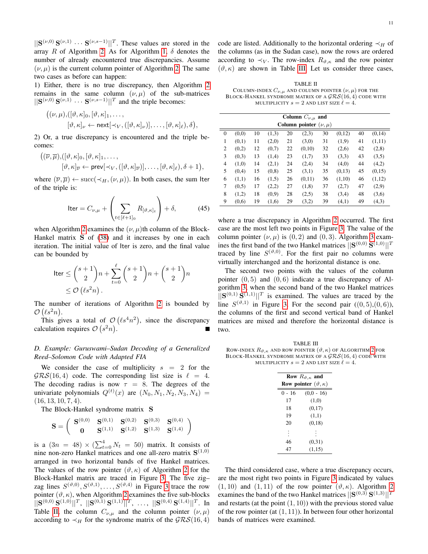$\|\mathbf{S}^{(\nu,0)}\mathbf{S}^{(\nu,1)}\cdots\mathbf{S}^{(\nu,s-1)}\|^T$ . These values are stored in the array R of Algorithm [2.](#page-9-4) As for Algorithm [1,](#page-5-1)  $\delta$  denotes the number of already encountered true discrepancies. Assume  $(\nu, \mu)$  is the current column pointer of Algorithm [2.](#page-9-4) The same two cases as before can happen:

1) Either, there is no true discrepancy, then Algorithm [2](#page-9-4) remains in the same column  $(\nu, \mu)$  of the sub-matrices  $||S^{(\nu,0)}S^{(\nu,1)}\cdots S^{(\nu,s-1)}||^T$  and the triple becomes:

$$
((\nu,\mu),([\vartheta,\kappa]_0,[\vartheta,\kappa]_1,\ldots,[\vartheta,\kappa]_\nu\leftarrow \text{next}[\prec_V,([\vartheta,\kappa]_\nu)],\ldots,[\vartheta,\kappa]_\ell),\delta),
$$

2) Or, a true discrepancy is encountered and the triple becomes:

$$
\begin{aligned} \big( (\overline{\nu}, \overline{\mu}), ([\vartheta, \kappa]_0, [\vartheta, \kappa]_1, \ldots, \\ & [\vartheta, \kappa]_{\overline{\nu}} \leftarrow \mathsf{prev}[\prec_V, ([\vartheta, \kappa]_{\overline{\nu}})], \ldots, [\vartheta, \kappa]_{\ell}), \delta + 1 \big), \end{aligned}
$$

where  $(\overline{\nu}, \overline{\mu}) \leftarrow \text{succ}(\prec_H, (\nu, \mu))$ . In both cases, the sum Iter of the triple is:

$$
\text{Iter} = C_{\nu,\mu} + \left(\sum_{t \in [\ell+1]_0} R_{[\vartheta,\kappa]_t}\right) + \delta,\tag{45}
$$

when Algorithm [2](#page-9-4) examines the  $(\nu, \mu)$ th column of the Block-Hankel matrix S of [\(38\)](#page-9-1) and it increases by one in each iteration. The initial value of Iter is zero, and the final value can be bounded by

$$
\begin{aligned} \text{Iter} &\le \binom{s+1}{2} n + \sum_{t=0}^{\ell} \binom{s+1}{2} n + \binom{s+1}{2} n \\ &\le \mathcal{O}\left(\ell s^2 n\right). \end{aligned}
$$

The number of iterations of Algorithm [2](#page-9-4) is bounded by  $\mathcal{O}\left(\ell s^2n\right)$ .

This gives a total of  $\mathcal{O}(\ell s^4 n^2)$ , since the discrepancy calculation requires  $\mathcal{O}(s^2n)$ .

#### *D. Example: Guruswami–Sudan Decoding of a Generalized Reed–Solomon Code with Adapted FIA*

We consider the case of multiplicity  $s = 2$  for the  $GRS(16, 4)$  code. The corresponding list size is  $\ell = 4$ . The decoding radius is now  $\tau = 8$ . The degrees of the univariate polynomials  $Q^{(t)}(x)$  are  $(N_0, N_1, N_2, N_3, N_4)$  =  $(16, 13, 10, 7, 4).$ 

The Block-Hankel syndrome matrix S

$$
\mathbf{S} = \left( \begin{array}{ccc} \mathbf{S}^{(0,0)} & \mathbf{S}^{(0,1)} & \mathbf{S}^{(0,2)} & \mathbf{S}^{(0,3)} & \mathbf{S}^{(0,4)} \\ \mathbf{0} & \mathbf{S}^{(1,1)} & \mathbf{S}^{(1,2)} & \mathbf{S}^{(1,3)} & \mathbf{S}^{(1,4)} \end{array} \right)
$$

is a  $(3n = 48) \times (\sum_{t=0}^{4} N_t = 50)$  matrix. It consists of nine non-zero Hankel matrices and one all-zero matrix  $S^{(1,0)}$ arranged in two horizontal bands of five Hankel matrices. The values of the row pointer  $(\vartheta, \kappa)$  of Algorithm [2](#page-9-4) for the Block-Hankel matrix are traced in Figure [3.](#page-12-13) The five zig– zag lines  $S^{(\vartheta,0)}, S^{(\vartheta,1)}, \ldots, S^{(\vartheta,4)}$  in Figure [3](#page-12-13) trace the row pointer  $(\vartheta, \kappa)$ , when Algorithm [2](#page-9-4) examines the five sub-blocks  $\|{\bf S}^{(0,0)}\,{\bf S}^{(1,0)}\|^{T},\,\,\|{\bf S}^{(0,1)}\,{\bf S}^{(1,1)}\|^{T},\,\,\ldots,\,\,\|{\bf S}^{(0,4)}\,{\bf S}^{(1,4)}\|^{T}. \,\,\ln$ Table [II,](#page-11-0) the column  $C_{\nu,\mu}$  and the column pointer  $(\nu,\mu)$ according to  $\prec_H$  for the syndrome matrix of the  $\mathcal{GRS}(16, 4)$  code are listed. Additionally to the horizontal ordering  $\prec_H$  of the columns (as in the Sudan case), now the rows are ordered according to  $\prec_V$ . The row-index  $R_{\vartheta,\kappa}$  and the row pointer  $(\vartheta, \kappa)$  are shown in Table [III.](#page-11-1) Let us consider three cases,

<span id="page-11-0"></span>TABLE II COLUMN-INDEX  $C_{\nu,\mu}$  and column pointer  $(\nu,\mu)$  for the BLOCK-HANKEL SYNDROME MATRIX OF A  $GRS(16, 4)$  CODE WITH MULTIPLICITY  $s = 2$  AND LIST SIZE  $\ell = 4$ .

|                  |       |    |        |    | Column $C_{\nu,\mu}$ and    |    |        |    |        |
|------------------|-------|----|--------|----|-----------------------------|----|--------|----|--------|
|                  |       |    |        |    | Column pointer $(\nu, \mu)$ |    |        |    |        |
| $\boldsymbol{0}$ | (0,0) | 10 | (1,3)  | 20 | (2,3)                       | 30 | (0,12) | 40 | (0,14) |
| 1                | (0,1) | 11 | (2,0)  | 21 | (3,0)                       | 31 | (1,9)  | 41 | (1,11) |
| 2                | (0,2) | 12 | (0,7)  | 22 | (0,10)                      | 32 | (2,6)  | 42 | (2,8)  |
| 3                | (0,3) | 13 | (1,4)  | 23 | (1,7)                       | 33 | (3,3)  | 43 | (3,5)  |
| 4                | (1,0) | 14 | (2,1)  | 24 | (2,4)                       | 34 | (4,0)  | 44 | (4,2)  |
| 5                | (0,4) | 15 | (0, 8) | 25 | (3,1)                       | 35 | (0,13) | 45 | (0,15) |
| 6                | (1,1) | 16 | (1,5)  | 26 | (0,11)                      | 36 | (1,10) | 46 | (1,12) |
| 7                | (0.5) | 17 | (2,2)  | 27 | (1,8)                       | 37 | (2,7)  | 47 | (2,9)  |
| 8                | (1,2) | 18 | (0,9)  | 28 | (2,5)                       | 38 | (3,4)  | 48 | (3,6)  |
| 9                | (0,6) | 19 | (1,6)  | 29 | (3,2)                       | 39 | (4,1)  | 49 | (4,3)  |

where a true discrepancy in Algorithm [2](#page-9-4) occurred. The first case are the most left two points in Figure [3.](#page-12-13) The value of the column pointer  $(\nu, \mu)$  is  $(0, 2)$  and  $(0, 3)$  $(0, 3)$  $(0, 3)$ . Algorithm 3 examines the first band of the two Hankel matrices  $||S^{(0,0)}S^{(1,0)}||^T$ traced by line  $S^{(\vartheta,0)}$ . For the first pair no columns were virtually interchanged and the horizontal distance is one.

The second two points with the values of the column pointer  $(0, 5)$  and  $(0, 6)$  indicate a true discrepancy of Algorithm [3,](#page-12-13) when the second band of the two Hankel matrices  $||S^{(0,1)}S^{(1,1)}||^T$  is examined. The values are traced by the line  $S^{(\vartheta,1)}$  in Figure [3.](#page-12-13) For the second pair  $((0,5),(0,6))$ , the columns of the first and second vertical band of Hankel matrices are mixed and therefore the horizontal distance is two.

<span id="page-11-1"></span>TABLE III ROW-INDEX  $R_{\vartheta,\kappa}$  and row pointer  $(\vartheta,\kappa)$  of Algorithm [2](#page-9-4) for BLOCK-HANKEL SYNDROME MATRIX OF A  $GRS(16, 4)$  CODE WITH MULTIPLICITY  $s = 2$  AND LIST SIZE  $\ell = 4$ .

|        | Row $R_{\vartheta,\kappa}$ and           |  |  |  |  |  |  |  |  |
|--------|------------------------------------------|--|--|--|--|--|--|--|--|
|        | <b>Row pointer</b> $(\vartheta, \kappa)$ |  |  |  |  |  |  |  |  |
| 0 - 16 | $(0,0 - 16)$                             |  |  |  |  |  |  |  |  |
| 17     | (1,0)                                    |  |  |  |  |  |  |  |  |
| 18     | (0,17)                                   |  |  |  |  |  |  |  |  |
| 19     | (1,1)                                    |  |  |  |  |  |  |  |  |
| 20     | (0,18)                                   |  |  |  |  |  |  |  |  |
|        |                                          |  |  |  |  |  |  |  |  |
| 46     | (0,31)                                   |  |  |  |  |  |  |  |  |
| 47     | (1,15)                                   |  |  |  |  |  |  |  |  |

The third considered case, where a true discrepancy occurs, are the most right two points in Figure [3](#page-12-13) indicated by values  $(1, 10)$  and  $(1, 11)$  of the row pointer  $(\vartheta, \kappa)$ . Algorithm [2](#page-9-4) examines the band of the two Hankel matrices  $||S^{(0,3)}S^{(1,3)}||^T$ and restarts (at the point  $(1, 10)$ ) with the previous stored value of the row pointer (at  $(1, 11)$ ). In between four other horizontal bands of matrices were examined.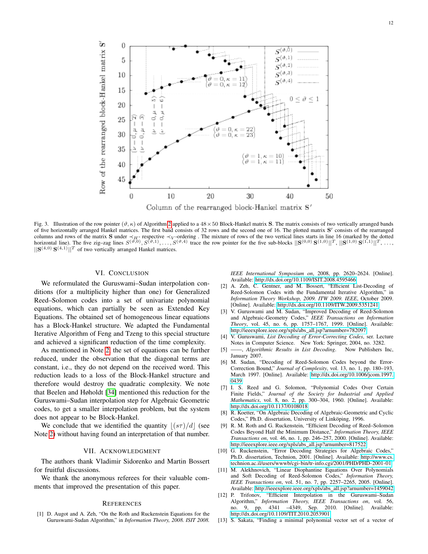

<span id="page-12-13"></span>Fig. 3. Illustration of the row pointer  $(\vartheta, \kappa)$  of Algorithm [2](#page-9-4) applied to a  $48 \times 50$  Block-Hankel matrix S. The matrix consists of two vertically arranged bands of five horizontally arranged Hankel matrices. The first band consists of 32 rows and the second one of 16. The plotted matrix S' consists of the rearranged columns and rows of the matrix S under  $\prec_{H^-}$  respective  $\prec_V$ -ordering. The mixture of rows of the two vertical lines starts in line 16 (marked by the dotted horizontal line). The five zig–zag lines  $S^{(\vartheta,0)}, S^{(\vartheta,1)}, \ldots, S^{(\vartheta,4)}$  trace the row pointer for the five sub-blocks  $||S^{(0,0)}S^{(1,0)}||^T$ ,  $||S^{(1,0)}S^{(1,1)}||^T$ , ...,  $||\mathbf{S}^{(4,0)}\mathbf{S}^{(4,1)}||^T$  of two vertically arranged Hankel matrices.

#### VI. CONCLUSION

<span id="page-12-12"></span>We reformulated the Guruswami–Sudan interpolation conditions (for a multiplicity higher than one) for Generalized Reed–Solomon codes into a set of univariate polynomial equations, which can partially be seen as Extended Key Equations. The obtained set of homogeneous linear equations has a Block-Hankel structure. We adapted the Fundamental Iterative Algorithm of Feng and Tzeng to this special structure and achieved a significant reduction of the time complexity.

As mentioned in Note [2,](#page-8-0) the set of equations can be further reduced, under the observation that the diagonal terms are constant, i.e., they do not depend on the received word. This reduction leads to a loss of the Block-Hankel structure and therefore would destroy the quadratic complexity. We note that Beelen and Høholdt [\[34\]](#page-13-18) mentioned this reduction for the Guruswami–Sudan interpolation step for Algebraic Geometric codes, to get a smaller interpolation problem, but the system does not appear to be Block-Hankel.

We conclude that we identified the quantity  $|(s\tau)/d|$  (see Note [2\)](#page-8-0) without having found an interpretation of that number.

#### VII. ACKNOWLEDGMENT

The authors thank Vladimir Sidorenko and Martin Bossert for fruitful discussions.

We thank the anonymous referees for their valuable comments that improved the presentation of this paper.

#### **REFERENCES**

<span id="page-12-10"></span>[1] D. Augot and A. Zeh, "On the Roth and Ruckenstein Equations for the Guruswami-Sudan Algorithm," in *Information Theory, 2008. ISIT 2008.* *IEEE International Symposium on*, 2008, pp. 2620–2624. [Online]. Available:<http://dx.doi.org/10.1109/ISIT.2008.4595466>

- <span id="page-12-11"></span>[2] A. Zeh, C. Gentner, and M. Bossert, "Efficient List-Decoding of Reed-Solomon Codes with the Fundamental Iterative Algorithm," in *Information Theory Workshop, 2009. ITW 2009. IEEE*, October 2009. [Online]. Available:<http://dx.doi.org/10.1109/ITW.2009.5351241>
- <span id="page-12-0"></span>[3] V. Guruswami and M. Sudan, "Improved Decoding of Reed-Solomon and Algebraic-Geometry Codes," *IEEE Transactions on Information Theory*, vol. 45, no. 6, pp. 1757–1767, 1999. [Online]. Available: [http://ieeexplore.ieee.org/xpls/abs](http://ieeexplore.ieee.org/xpls/abs_all.jsp?arnumber=782097) all.jsp?arnumber=782097
- [4] V. Guruswami, *List Decoding of Error-Correcting Codes*, ser. Lecture Notes in Computer Science. New York: Springer, 2004, no. 3282.
- <span id="page-12-1"></span>[5] ——, *Algorithmic Results in List Decoding*. Now Publishers Inc, January 2007.
- <span id="page-12-2"></span>[6] M. Sudan, "Decoding of Reed-Solomon Codes beyond the Error-Correction Bound," *Journal of Complexity*, vol. 13, no. 1, pp. 180–193, March 1997. [Online]. Available: [http://dx.doi.org/10.1006/jcom.1997.](http://dx.doi.org/10.1006/jcom.1997.0439) [0439](http://dx.doi.org/10.1006/jcom.1997.0439)
- <span id="page-12-3"></span>[7] I. S. Reed and G. Solomon, "Polynomial Codes Over Certain Finite Fields," *Journal of the Society for Industrial and Applied Mathematics*, vol. 8, no. 2, pp. 300–304, 1960. [Online]. Available: <http://dx.doi.org/10.1137/0108018>
- <span id="page-12-4"></span>[8] R. Koetter, "On Algebraic Decoding of Algebraic-Geometric and Cyclic Codes," Ph.D. dissertation, University of Linköping, 1996.
- <span id="page-12-5"></span>[9] R. M. Roth and G. Ruckenstein, "Efficient Decoding of Reed–Solomon Codes Beyond Half the Minimum Distance," *Information Theory, IEEE Transactions on*, vol. 46, no. 1, pp. 246–257, 2000. [Online]. Available: [http://ieeexplore.ieee.org/xpls/abs](http://ieeexplore.ieee.org/xpls/abs_all.jsp?arnumber=817522) all.jsp?arnumber=817522
- <span id="page-12-6"></span>[10] G. Ruckenstein, "Error Decoding Strategies for Algebraic Codes," Ph.D. dissertation, Technion, 2001. [Online]. Available: [http://www.cs.](http://www.cs.technion.ac.il/users/wwwb/cgi-bin/tr-info.cgi/2001/PHD/PHD-2001-01) [technion.ac.il/users/wwwb/cgi-bin/tr-info.cgi/2001/PHD/PHD-2001-01](http://www.cs.technion.ac.il/users/wwwb/cgi-bin/tr-info.cgi/2001/PHD/PHD-2001-01)
- <span id="page-12-7"></span>[11] M. Alekhnovich, "Linear Diophantine Equations Over Polynomials and Soft Decoding of Reed-Solomon Codes," *Information Theory, IEEE Transactions on*, vol. 51, no. 7, pp. 2257–2265, 2005. [Online]. Available: [http://ieeexplore.ieee.org/xpls/abs](http://ieeexplore.ieee.org/xpls/abs_all.jsp?arnumber=1459042) all.jsp?arnumber=1459042
- <span id="page-12-8"></span>[12] P. Trifonov, "Efficient Interpolation in the Guruswami-Sudan Algorithm," *Information Theory, IEEE Transactions on*, vol. 56, no. 9, pp. 4341 –4349, Sep. 2010. [Online]. Available: <http://dx.doi.org/10.1109/TIT.2010.2053901>
- <span id="page-12-9"></span>[13] S. Sakata, "Finding a minimal polynomial vector set of a vector of